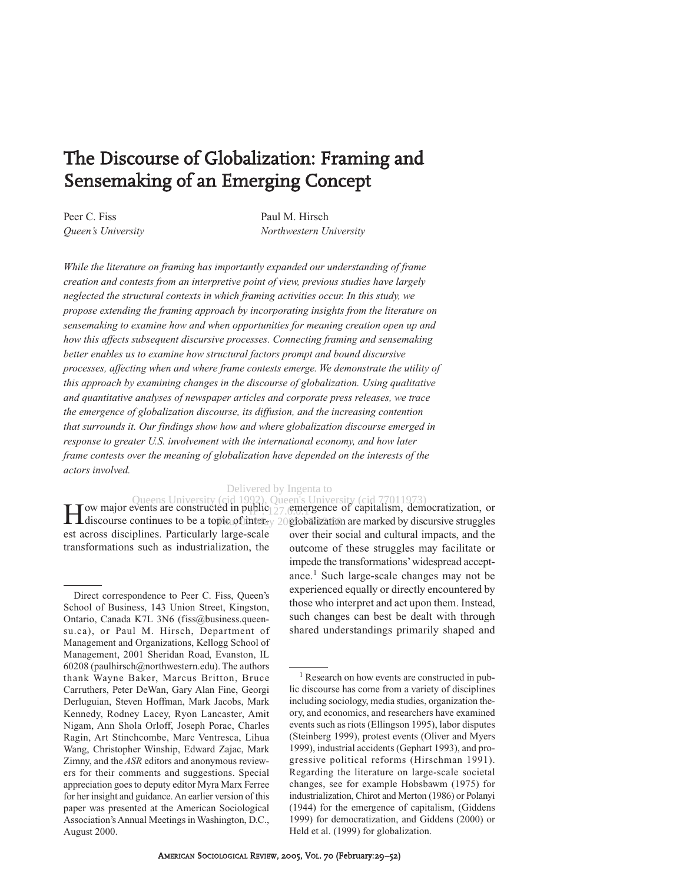# The Discourse of Globalization: Framing and Sensemaking of an Emerging Concept

Peer C. Fiss Paul M. Hirsch

*Queen's University Northwestern University*

*While the literature on framing has importantly expanded our understanding of frame creation and contests from an interpretive point of view, previous studies have largely neglected the structural contexts in which framing activities occur. In this study, we propose extending the framing approach by incorporating insights from the literature on sensemaking to examine how and when opportunities for meaning creation open up and how this affects subsequent discursive processes. Connecting framing and sensemaking better enables us to examine how structural factors prompt and bound discursive processes, affecting when and where frame contests emerge. We demonstrate the utility of this approach by examining changes in the discourse of globalization. Using qualitative and quantitative analyses of newspaper articles and corporate press releases, we trace the emergence of globalization discourse, its diffusion, and the increasing contention that surrounds it. Our findings show how and where globalization discourse emerged in response to greater U.S. involvement with the international economy, and how later frame contests over the meaning of globalization have depended on the interests of the actors involved.*

Delivered by Ingenta to

Queens University (cid 1992), Queen's University (cid 77011973)<br> **How major events are constructed in public** 127 **@mergence** of capitalism, democratization, or<br>
discourse continues to be a topic of inteltry 20 giobalizati est across disciplines. Particularly large-scale transformations such as industrialization, the  $\mathbf{p}$ lic $_{127.0}$ emei

discourse continues to be a topic of inter $_{\rm{ry}}$  20 giobalization are marked by discursive struggles over their social and cultural impacts, and the outcome of these struggles may facilitate or impede the transformations'widespread acceptance.<sup>1</sup> Such large-scale changes may not be experienced equally or directly encountered by those who interpret and act upon them. Instead, such changes can best be dealt with through shared understandings primarily shaped and

Direct correspondence to Peer C. Fiss, Queen's School of Business, 143 Union Street, Kingston, Ontario, Canada K7L 3N6 (fiss@business.queensu.ca), or Paul M. Hirsch, Department of Management and Organizations, Kellogg School of Management, 2001 Sheridan Road, Evanston, IL 60208 (paulhirsch@northwestern.edu). The authors thank Wayne Baker, Marcus Britton, Bruce Carruthers, Peter DeWan, Gary Alan Fine, Georgi Derluguian, Steven Hoffman, Mark Jacobs, Mark Kennedy, Rodney Lacey, Ryon Lancaster, Amit Nigam, Ann Shola Orloff, Joseph Porac, Charles Ragin, Art Stinchcombe, Marc Ventresca, Lihua Wang, Christopher Winship, Edward Zajac, Mark Zimny, and the *ASR* editors and anonymous reviewers for their comments and suggestions. Special appreciation goes to deputy editor Myra Marx Ferree for her insight and guidance. An earlier version of this paper was presented at the American Sociological Association's Annual Meetings in Washington, D.C., August 2000.

<sup>&</sup>lt;sup>1</sup> Research on how events are constructed in public discourse has come from a variety of disciplines including sociology, media studies, organization theory, and economics, and researchers have examined events such as riots (Ellingson 1995), labor disputes (Steinberg 1999), protest events (Oliver and Myers 1999), industrial accidents (Gephart 1993), and progressive political reforms (Hirschman 1991). Regarding the literature on large-scale societal changes, see for example Hobsbawm (1975) for industrialization, Chirot and Merton (1986) or Polanyi (1944) for the emergence of capitalism, (Giddens 1999) for democratization, and Giddens (2000) or Held et al. (1999) for globalization.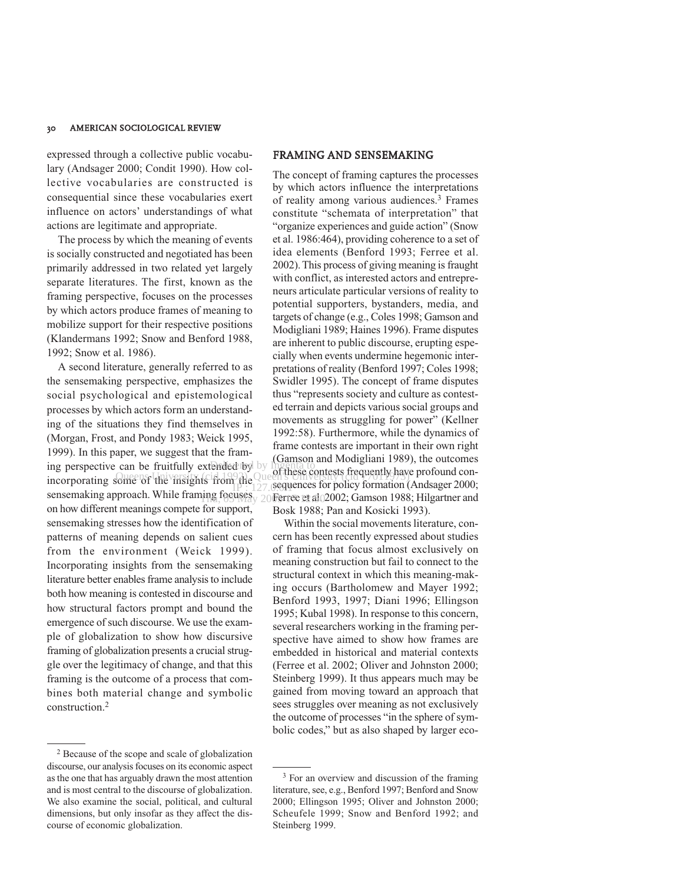expressed through a collective public vocabulary (Andsager 2000; Condit 1990). How collective vocabularies are constructed is consequential since these vocabularies exert influence on actors' understandings of what actions are legitimate and appropriate.

The process by which the meaning of events is socially constructed and negotiated has been primarily addressed in two related yet largely separate literatures. The first, known as the framing perspective, focuses on the processes by which actors produce frames of meaning to mobilize support for their respective positions (Klandermans 1992; Snow and Benford 1988, 1992; Snow et al. 1986).

A second literature, generally referred to as the sensemaking perspective, emphasizes the social psychological and epistemological processes by which actors form an understanding of the situations they find themselves in (Morgan, Frost, and Pondy 1983; Weick 1995, 1999). In this paper, we suggest that the framing perspective can be fruitfully extended to by Ingenta to incorporating some of the insights from the  $\alpha$  queen these concess the queen have incorporation ( sensemaking approach. While framing focuses, on how different meanings compete for support, sensemaking stresses how the identification of patterns of meaning depends on salient cues from the environment (Weick 1999). Incorporating insights from the sensemaking literature better enables frame analysis to include both how meaning is contested in discourse and how structural factors prompt and bound the emergence of such discourse. We use the example of globalization to show how discursive framing of globalization presents a crucial struggle over the legitimacy of change, and that this framing is the outcome of a process that combines both material change and symbolic construction.2

#### FRAMING AND SENSEMAKING

The concept of framing captures the processes by which actors influence the interpretations of reality among various audiences.<sup>3</sup> Frames constitute "schemata of interpretation" that "organize experiences and guide action" (Snow et al. 1986:464), providing coherence to a set of idea elements (Benford 1993; Ferree et al. 2002). This process of giving meaning is fraught with conflict, as interested actors and entrepreneurs articulate particular versions of reality to potential supporters, bystanders, media, and targets of change (e.g., Coles 1998; Gamson and Modigliani 1989; Haines 1996). Frame disputes are inherent to public discourse, erupting especially when events undermine hegemonic interpretations of reality (Benford 1997; Coles 1998; Swidler 1995). The concept of frame disputes thus "represents society and culture as contested terrain and depicts various social groups and movements as struggling for power" (Kellner 1992:58). Furthermore, while the dynamics of frame contests are important in their own right (Gamson and Modigliani 1989), the outcomes of these contests frequently have profound con- $\text{FIP}$ : 127. 9.0.1. Sequences for policy formation (Andsager 2000; 1119g focuses<sub>y</sub> 2005erree et al0**2002; Gamson 1988; Hilgartner and** Bosk 1988; Pan and Kosicki 1993).

> Within the social movements literature, concern has been recently expressed about studies of framing that focus almost exclusively on meaning construction but fail to connect to the structural context in which this meaning-making occurs (Bartholomew and Mayer 1992; Benford 1993, 1997; Diani 1996; Ellingson 1995; Kubal 1998). In response to this concern, several researchers working in the framing perspective have aimed to show how frames are embedded in historical and material contexts (Ferree et al. 2002; Oliver and Johnston 2000; Steinberg 1999). It thus appears much may be gained from moving toward an approach that sees struggles over meaning as not exclusively the outcome of processes "in the sphere of symbolic codes," but as also shaped by larger eco-

<sup>2</sup> Because of the scope and scale of globalization discourse, our analysis focuses on its economic aspect as the one that has arguably drawn the most attention and is most central to the discourse of globalization. We also examine the social, political, and cultural dimensions, but only insofar as they affect the discourse of economic globalization.

<sup>&</sup>lt;sup>3</sup> For an overview and discussion of the framing literature, see, e.g., Benford 1997; Benford and Snow 2000; Ellingson 1995; Oliver and Johnston 2000; Scheufele 1999; Snow and Benford 1992; and Steinberg 1999.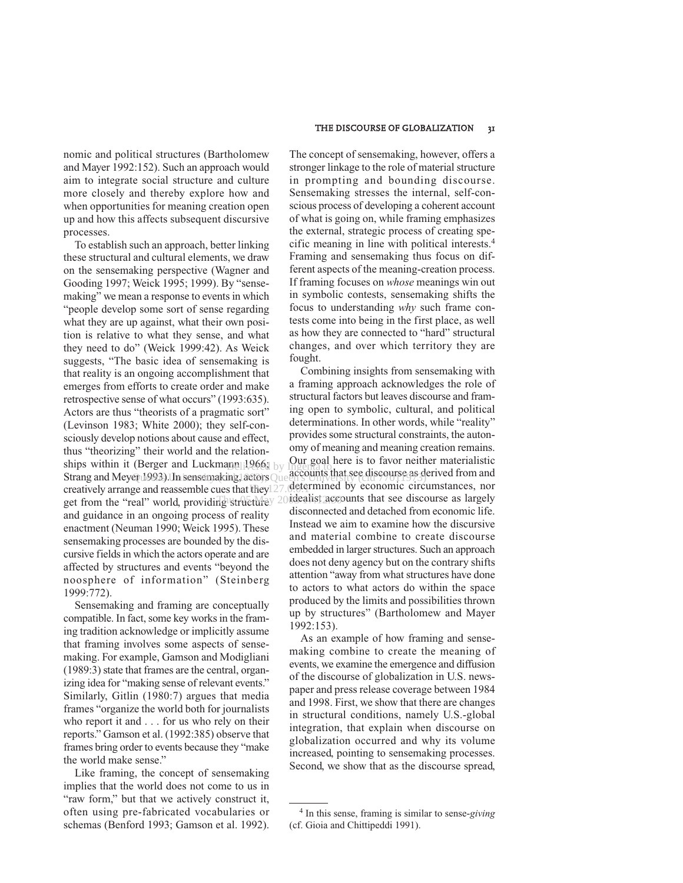nomic and political structures (Bartholomew and Mayer 1992:152). Such an approach would aim to integrate social structure and culture more closely and thereby explore how and when opportunities for meaning creation open up and how this affects subsequent discursive processes.

To establish such an approach, better linking these structural and cultural elements, we draw on the sensemaking perspective (Wagner and Gooding 1997; Weick 1995; 1999). By "sensemaking" we mean a response to events in which "people develop some sort of sense regarding what they are up against, what their own position is relative to what they sense, and what they need to do" (Weick 1999:42). As Weick suggests, "The basic idea of sensemaking is that reality is an ongoing accomplishment that emerges from efforts to create order and make retrospective sense of what occurs" (1993:635). Actors are thus "theorists of a pragmatic sort" (Levinson 1983; White 2000); they self-consciously develop notions about cause and effect, thus "theorizing" their world and the relationships within it (Berger and Luckmann  $1966$ ; by Ingenta to Strang and Meyer 1993). Universemaking, actors Queen's University (cid 9901197433 creatively arrange and reassemble cues that they get from the "real" world, providing structure y 20 tealist accounts that see discourse as largely and guidance in an ongoing process of reality enactment (Neuman 1990; Weick 1995). These sensemaking processes are bounded by the discursive fields in which the actors operate and are affected by structures and events "beyond the noosphere of information" (Steinberg 1999:772).  $H$ ey $127.0$ .0.0.19 Thu, the United States

Sensemaking and framing are conceptually compatible. In fact, some key works in the framing tradition acknowledge or implicitly assume that framing involves some aspects of sensemaking. For example, Gamson and Modigliani (1989:3) state that frames are the central, organizing idea for "making sense of relevant events." Similarly, Gitlin (1980:7) argues that media frames "organize the world both for journalists who report it and . . . for us who rely on their reports." Gamson et al. (1992:385) observe that frames bring order to events because they "make the world make sense."

Like framing, the concept of sensemaking implies that the world does not come to us in "raw form," but that we actively construct it, often using pre-fabricated vocabularies or schemas (Benford 1993; Gamson et al. 1992).

The concept of sensemaking, however, offers a stronger linkage to the role of material structure in prompting and bounding discourse. Sensemaking stresses the internal, self-conscious process of developing a coherent account of what is going on, while framing emphasizes the external, strategic process of creating specific meaning in line with political interests.4 Framing and sensemaking thus focus on different aspects of the meaning-creation process. If framing focuses on *whose* meanings win out in symbolic contests, sensemaking shifts the focus to understanding *why* such frame contests come into being in the first place, as well as how they are connected to "hard" structural changes, and over which territory they are fought.

Combining insights from sensemaking with a framing approach acknowledges the role of structural factors but leaves discourse and framing open to symbolic, cultural, and political determinations. In other words, while "reality" provides some structural constraints, the autonomy of meaning and meaning creation remains. Our goal here is to favor neither materialistic accounts that see discourse as derived from and determined by economic circumstances, nor disconnected and detached from economic life. Instead we aim to examine how the discursive and material combine to create discourse embedded in larger structures. Such an approach does not deny agency but on the contrary shifts attention "away from what structures have done to actors to what actors do within the space produced by the limits and possibilities thrown up by structures" (Bartholomew and Mayer 1992:153).

As an example of how framing and sensemaking combine to create the meaning of events, we examine the emergence and diffusion of the discourse of globalization in U.S. newspaper and press release coverage between 1984 and 1998. First, we show that there are changes in structural conditions, namely U.S.-global integration, that explain when discourse on globalization occurred and why its volume increased, pointing to sensemaking processes. Second, we show that as the discourse spread,

<sup>4</sup> In this sense, framing is similar to sense-*giving* (cf. Gioia and Chittipeddi 1991).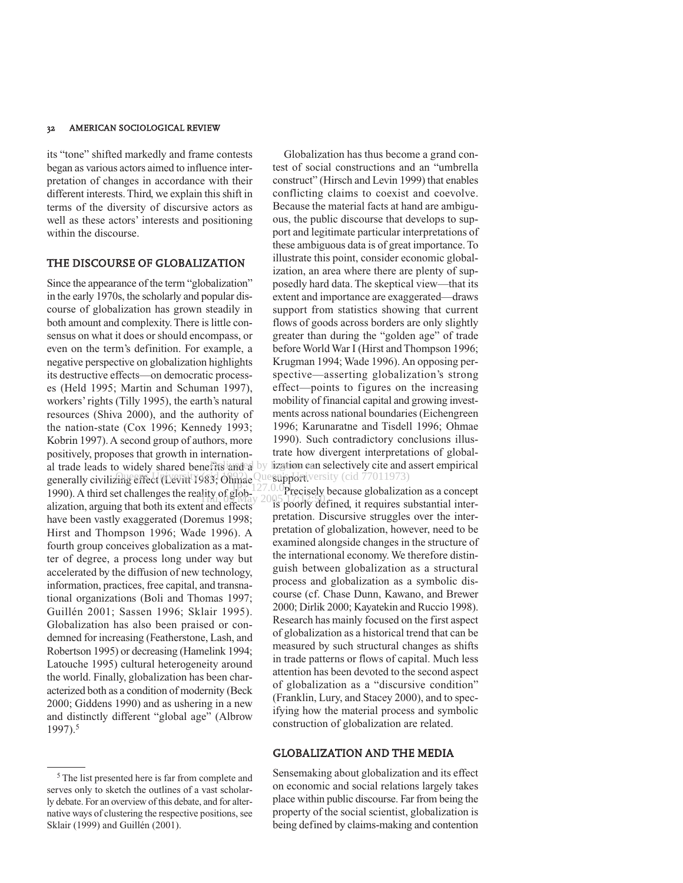its "tone" shifted markedly and frame contests began as various actors aimed to influence interpretation of changes in accordance with their different interests. Third, we explain this shift in terms of the diversity of discursive actors as well as these actors' interests and positioning within the discourse.

#### THE DISCOURSE OF GLOBALIZATION

Since the appearance of the term "globalization" in the early 1970s, the scholarly and popular discourse of globalization has grown steadily in both amount and complexity. There is little consensus on what it does or should encompass, or even on the term's definition. For example, a negative perspective on globalization highlights its destructive effects—on democratic processes (Held 1995; Martin and Schuman 1997), workers' rights (Tilly 1995), the earth's natural resources (Shiva 2000), and the authority of the nation-state (Cox 1996; Kennedy 1993; Kobrin 1997). A second group of authors, more positively, proposes that growth in international trade leads to widely shared benefits and a by lization ca generally civilizing effect (Levitt 1983; Ohmae 1990). A third set challenges the reality of glob- $\frac{127.0}{2005}$ . alization, arguing that both its extent and effects have been vastly exaggerated (Doremus 1998; Hirst and Thompson 1996; Wade 1996). A fourth group conceives globalization as a matter of degree, a process long under way but accelerated by the diffusion of new technology, information, practices, free capital, and transnational organizations (Boli and Thomas 1997; Guillén 2001; Sassen 1996; Sklair 1995). Globalization has also been praised or condemned for increasing (Featherstone, Lash, and Robertson 1995) or decreasing (Hamelink 1994; Latouche 1995) cultural heterogeneity around the world. Finally, globalization has been characterized both as a condition of modernity (Beck 2000; Giddens 1990) and as ushering in a new and distinctly different "global age" (Albrow 1997).5 Superfect (Levitt 1983, Ohmae Queen pportiversity (cid 77011973)

Globalization has thus become a grand contest of social constructions and an "umbrella construct" (Hirsch and Levin 1999) that enables conflicting claims to coexist and coevolve. Because the material facts at hand are ambiguous, the public discourse that develops to support and legitimate particular interpretations of these ambiguous data is of great importance. To illustrate this point, consider economic globalization, an area where there are plenty of supposedly hard data. The skeptical view—that its extent and importance are exaggerated—draws support from statistics showing that current flows of goods across borders are only slightly greater than during the "golden age" of trade before World War I (Hirst and Thompson 1996; Krugman 1994; Wade 1996). An opposing perspective—asserting globalization's strong effect—points to figures on the increasing mobility of financial capital and growing investments across national boundaries (Eichengreen 1996; Karunaratne and Tisdell 1996; Ohmae 1990). Such contradictory conclusions illustrate how divergent interpretations of globalization can selectively cite and assert empirical

Precisely because globalization as a concept INTO BIDDE 71005 100025 Secured Substantial inter-<br>t and effects is poorly defined, it requires substantial interpretation. Discursive struggles over the interpretation of globalization, however, need to be examined alongside changes in the structure of the international economy. We therefore distinguish between globalization as a structural process and globalization as a symbolic discourse (cf. Chase Dunn, Kawano, and Brewer 2000; Dirlik 2000; Kayatekin and Ruccio 1998). Research has mainly focused on the first aspect of globalization as a historical trend that can be measured by such structural changes as shifts in trade patterns or flows of capital. Much less attention has been devoted to the second aspect of globalization as a "discursive condition" (Franklin, Lury, and Stacey 2000), and to specifying how the material process and symbolic construction of globalization are related.

### GLOBALIZATION AND THE MEDIA

Sensemaking about globalization and its effect on economic and social relations largely takes place within public discourse. Far from being the property of the social scientist, globalization is being defined by claims-making and contention

<sup>5</sup> The list presented here is far from complete and serves only to sketch the outlines of a vast scholarly debate. For an overview of this debate, and for alternative ways of clustering the respective positions, see Sklair (1999) and Guillén (2001).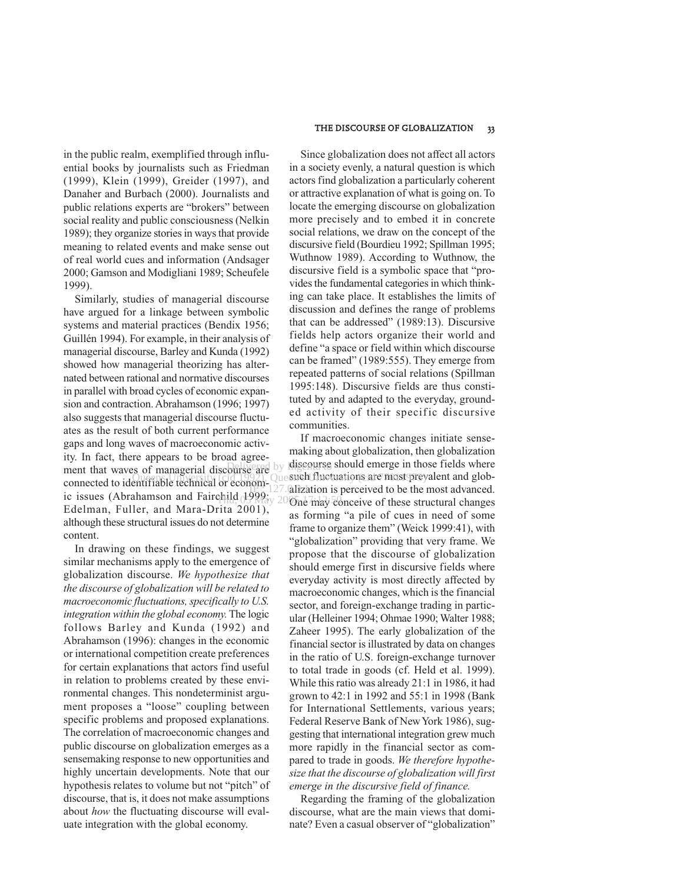in the public realm, exemplified through influential books by journalists such as Friedman (1999), Klein (1999), Greider (1997), and Danaher and Burbach (2000). Journalists and public relations experts are "brokers" between social reality and public consciousness (Nelkin 1989); they organize stories in ways that provide meaning to related events and make sense out of real world cues and information (Andsager 2000; Gamson and Modigliani 1989; Scheufele 1999).

Similarly, studies of managerial discourse have argued for a linkage between symbolic systems and material practices (Bendix 1956; Guillén 1994). For example, in their analysis of managerial discourse, Barley and Kunda (1992) showed how managerial theorizing has alternated between rational and normative discourses in parallel with broad cycles of economic expansion and contraction. Abrahamson (1996; 1997) also suggests that managerial discourse fluctuates as the result of both current performance gaps and long waves of macroeconomic activity. In fact, there appears to be broad agreement that waves of managerial discourse are by **Elisephirse** ment that wave our industrial or econom-<br>connected to identifiable technical or econom-127 Atlastical is permetted to be the connected to definitable technical of economic 127.010 $\frac{31}{24}$ <br>ic issues (Abrahamson and Fairchild 1999; 20 $\frac{31}{24}$ Edelman, Fuller, and Mara-Drita 2001), although these structural issues do not determine content. onug 05 May 2005 ne may 50

In drawing on these findings, we suggest similar mechanisms apply to the emergence of globalization discourse. *We hypothesize that the discourse of globalization will be related to macroeconomic fluctuations, specifically to U.S. integration within the global economy.*The logic follows Barley and Kunda (1992) and Abrahamson (1996): changes in the economic or international competition create preferences for certain explanations that actors find useful in relation to problems created by these environmental changes. This nondeterminist argument proposes a "loose" coupling between specific problems and proposed explanations. The correlation of macroeconomic changes and public discourse on globalization emerges as a sensemaking response to new opportunities and highly uncertain developments. Note that our hypothesis relates to volume but not "pitch" of discourse, that is, it does not make assumptions about *how* the fluctuating discourse will evaluate integration with the global economy.

Since globalization does not affect all actors in a society evenly, a natural question is which actors find globalization a particularly coherent or attractive explanation of what is going on. To locate the emerging discourse on globalization more precisely and to embed it in concrete social relations, we draw on the concept of the discursive field (Bourdieu 1992; Spillman 1995; Wuthnow 1989). According to Wuthnow, the discursive field is a symbolic space that "provides the fundamental categories in which thinking can take place. It establishes the limits of discussion and defines the range of problems that can be addressed" (1989:13). Discursive fields help actors organize their world and define "a space or field within which discourse can be framed" (1989:555). They emerge from repeated patterns of social relations (Spillman 1995:148). Discursive fields are thus constituted by and adapted to the everyday, grounded activity of their specific discursive communities.

If macroeconomic changes initiate sensemaking about globalization, then globalization discourse should emerge in those fields where Uuesuch fluctuations are most prevalent and globalization is perceived to be the most advanced. One may conceive of these structural changes as forming "a pile of cues in need of some frame to organize them" (Weick 1999:41), with "globalization" providing that very frame. We propose that the discourse of globalization should emerge first in discursive fields where everyday activity is most directly affected by macroeconomic changes, which is the financial sector, and foreign-exchange trading in particular (Helleiner 1994; Ohmae 1990; Walter 1988; Zaheer 1995). The early globalization of the financial sector is illustrated by data on changes in the ratio of U.S. foreign-exchange turnover to total trade in goods (cf. Held et al. 1999). While this ratio was already 21:1 in 1986, it had grown to 42:1 in 1992 and 55:1 in 1998 (Bank for International Settlements, various years; Federal Reserve Bank of New York 1986), suggesting that international integration grew much more rapidly in the financial sector as compared to trade in goods. *We therefore hypothesize that the discourse of globalization will first emerge in the discursive field of finance.*

Regarding the framing of the globalization discourse, what are the main views that dominate? Even a casual observer of "globalization"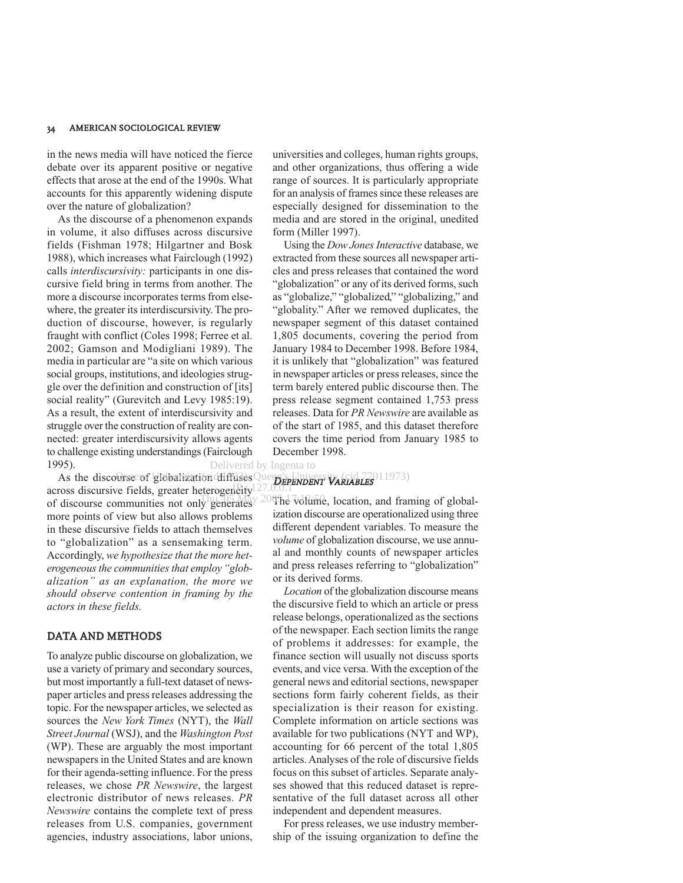in the news media will have noticed the fierce debate over its apparent positive or negative effects that arose at the end of the 1990s. What accounts for this apparently widening dispute over the nature of globalization?

As the discourse of a phenomenon expands in volume, it also diffuses across discursive fields (Fishman 1978; Hilgartner and Bosk 1988), which increases what Fairclough (1992) calls *interdiscursivity:* participants in one discursive field bring in terms from another. The more a discourse incorporates terms from elsewhere, the greater its interdiscursivity. The production of discourse, however, is regularly fraught with conflict (Coles 1998; Ferree et al. 2002; Gamson and Modigliani 1989). The media in particular are "a site on which various social groups, institutions, and ideologies struggle over the definition and construction of [its] social reality" (Gurevitch and Levy 1985:19). As a result, the extent of interdiscursivity and struggle over the construction of reality are connected: greater interdiscursivity allows agents to challenge existing understandings (Fairclough 1995). Delivered by Ingenta to

As the discourse of globalization diffuses Queen's University (cid 77011973) across discursive fields, greater heterogeneity of discourse communities not only generates more points of view but also allows problems in these discursive fields to attach themselves to "globalization" as a sensemaking term. Accordingly, *we hypothesize that the more heterogeneous the communities that employ "globalization" as an explanation, the more we should observe contention in framing by the actors in these fields.* **Eity** 127.0.0.1

### DATA AND METHODS

To analyze public discourse on globalization, we use a variety of primary and secondary sources, but most importantly a full-text dataset of newspaper articles and press releases addressing the topic. For the newspaper articles, we selected as sources the *New York Times* (NYT), the *Wall Street Journal* (WSJ), and the *Washington Post* (WP). These are arguably the most important newspapers in the United States and are known for their agenda-setting influence. For the press releases, we chose *PR Newswire*, the largest electronic distributor of news releases. *PR Newswire* contains the complete text of press releases from U.S. companies, government agencies, industry associations, labor unions,

universities and colleges, human rights groups, and other organizations, thus offering a wide range of sources. It is particularly appropriate for an analysis of frames since these releases are especially designed for dissemination to the media and are stored in the original, unedited form (Miller 1997).

Using the *Dow Jones Interactive* database, we extracted from these sources all newspaper articles and press releases that contained the word "globalization" or any of its derived forms, such as "globalize," "globalized," "globalizing," and "globality." After we removed duplicates, the newspaper segment of this dataset contained 1,805 documents, covering the period from January 1984 to December 1998. Before 1984, it is unlikely that "globalization" was featured in newspaper articles or press releases, since the term barely entered public discourse then. The press release segment contained 1,753 press releases. Data for *PR Newswire* are available as of the start of 1985, and this dataset therefore covers the time period from January 1985 to December 1998.

 $T_{\text{Hil}}$  (15  $\text{Majy}$  2005 he volume, location, and framing of globalization discourse are operationalized using three different dependent variables. To measure the *volume* of globalization discourse, we use annual and monthly counts of newspaper articles and press releases referring to "globalization" or its derived forms.

> *Location* of the globalization discourse means the discursive field to which an article or press release belongs, operationalized as the sections of the newspaper. Each section limits the range of problems it addresses: for example, the finance section will usually not discuss sports events, and vice versa. With the exception of the general news and editorial sections, newspaper sections form fairly coherent fields, as their specialization is their reason for existing. Complete information on article sections was available for two publications (NYT and WP), accounting for 66 percent of the total 1,805 articles. Analyses of the role of discursive fields focus on this subset of articles. Separate analyses showed that this reduced dataset is representative of the full dataset across all other independent and dependent measures.

> For press releases, we use industry membership of the issuing organization to define the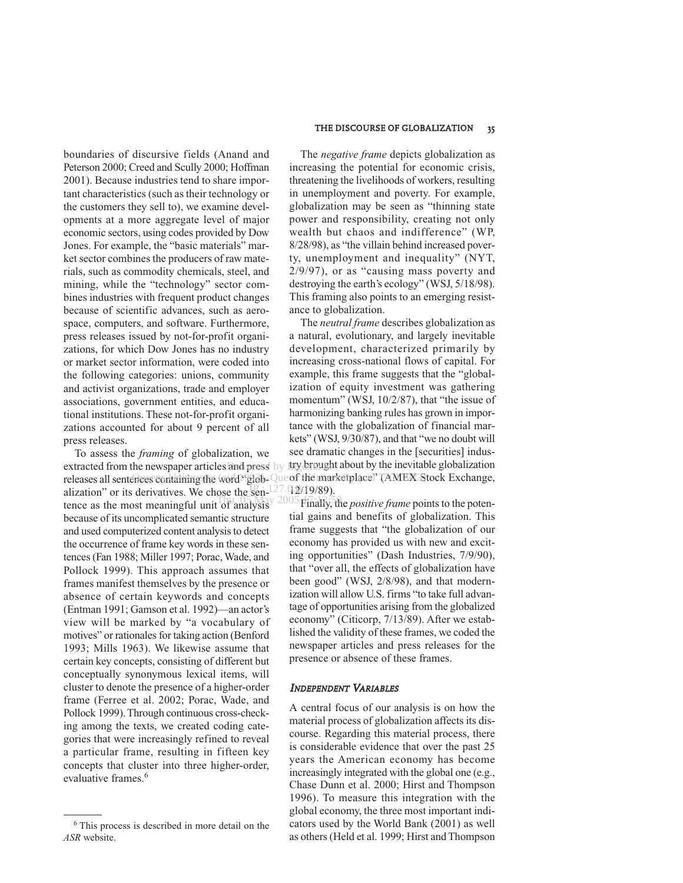boundaries of discursive fields (Anand and Peterson 2000; Creed and Scully 2000; Hoffman 2001). Because industries tend to share important characteristics (such as their technology or the customers they sell to), we examine developments at a more aggregate level of major economic sectors, using codes provided by Dow Jones. For example, the "basic materials" market sector combines the producers of raw materials, such as commodity chemicals, steel, and mining, while the "technology" sector combines industries with frequent product changes because of scientific advances, such as aerospace, computers, and software. Furthermore, press releases issued by not-for-profit organizations, for which Dow Jones has no industry or market sector information, were coded into the following categories: unions, community and activist organizations, trade and employer associations, government entities, and educational institutions. These not-for-profit organizations accounted for about 9 percent of all press releases.

To assess the *framing* of globalization, we extracted from the newspaper articles and press by Ingental releases all sentences containing the word "glob-Que of the marketplace" (AMEX Stock Exchange, alization" or its derivatives. We chose the sentence as the most meaningful unit of analysis  $2005$   $\frac{17.10}{200}$ because of its uncomplicated semantic structure and used computerized content analysis to detect the occurrence of frame key words in these sentences (Fan 1988; Miller 1997; Porac, Wade, and Pollock 1999). This approach assumes that frames manifest themselves by the presence or absence of certain keywords and concepts (Entman 1991; Gamson et al. 1992)—an actor's view will be marked by "a vocabulary of motives" or rationales for taking action (Benford 1993; Mills 1963). We likewise assume that certain key concepts, consisting of different but conceptually synonymous lexical items, will cluster to denote the presence of a higher-order frame (Ferree et al. 2002; Porac, Wade, and Pollock 1999). Through continuous cross-checking among the texts, we created coding categories that were increasingly refined to reveal a particular frame, resulting in fifteen key concepts that cluster into three higher-order, evaluative frames.<sup>6</sup>

The *negative frame* depicts globalization as increasing the potential for economic crisis, threatening the livelihoods of workers, resulting in unemployment and poverty. For example, globalization may be seen as "thinning state power and responsibility, creating not only wealth but chaos and indifference" (WP, 8/28/98), as "the villain behind increased poverty, unemployment and inequality" (NYT, 2/9/97), or as "causing mass poverty and destroying the earth's ecology" (WSJ, 5/18/98). This framing also points to an emerging resistance to globalization.

The *neutral frame* describes globalization as a natural, evolutionary, and largely inevitable development, characterized primarily by increasing cross-national flows of capital. For example, this frame suggests that the "globalization of equity investment was gathering momentum" (WSJ, 10/2/87), that "the issue of harmonizing banking rules has grown in importance with the globalization of financial markets" (WSJ, 9/30/87), and that "we no doubt will see dramatic changes in the [securities] industry brought about by the inevitable globalization  $I_{\rm Sen}$  127.0.2/19/89).

> Finally, the *positive frame* points to the potential gains and benefits of globalization. This frame suggests that "the globalization of our economy has provided us with new and exciting opportunities" (Dash Industries, 7/9/90), that "over all, the effects of globalization have been good" (WSJ, 2/8/98), and that modernization will allow U.S. firms "to take full advantage of opportunities arising from the globalized economy" (Citicorp, 7/13/89). After we established the validity of these frames, we coded the newspaper articles and press releases for the presence or absence of these frames.

#### INDEPENDENT VARIABLES

A central focus of our analysis is on how the material process of globalization affects its discourse. Regarding this material process, there is considerable evidence that over the past 25 years the American economy has become increasingly integrated with the global one (e.g., Chase Dunn et al. 2000; Hirst and Thompson 1996). To measure this integration with the global economy, the three most important indicators used by the World Bank (2001) as well as others (Held et al. 1999; Hirst and Thompson

<sup>6</sup> This process is described in more detail on the *ASR* website.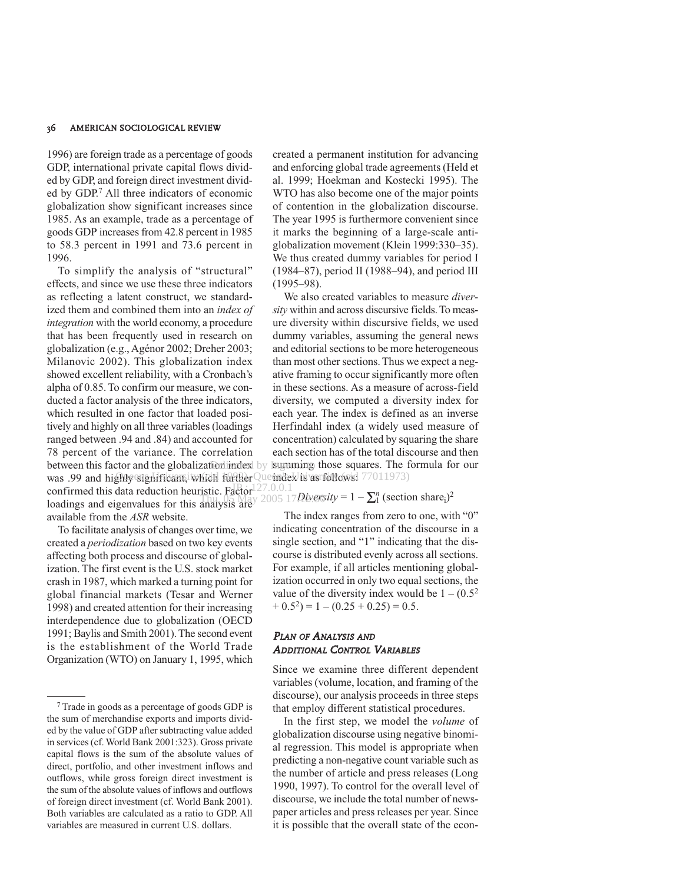1996) are foreign trade as a percentage of goods GDP, international private capital flows divided by GDP, and foreign direct investment divided by GDP.<sup>7</sup> All three indicators of economic globalization show significant increases since 1985. As an example, trade as a percentage of goods GDP increases from 42.8 percent in 1985 to 58.3 percent in 1991 and 73.6 percent in 1996.

To simplify the analysis of "structural" effects, and since we use these three indicators as reflecting a latent construct, we standardized them and combined them into an *index of integration* with the world economy, a procedure that has been frequently used in research on globalization (e.g., Agénor 2002; Dreher 2003; Milanovic 2002). This globalization index showed excellent reliability, with a Cronbach's alpha of 0.85. To confirm our measure, we conducted a factor analysis of the three indicators, which resulted in one factor that loaded positively and highly on all three variables (loadings ranged between .94 and .84) and accounted for 78 percent of the variance. The correlation between this factor and the globalization index by Isumming those squares. The formula for our was .99 and highly significant which further Queendex is as follows! 77011973) confirmed this data reduction heuristic. Factor loadings and eigenvalues for this analysis are available from the *ASR* website.

To facilitate analysis of changes over time, we created a *periodization* based on two key events affecting both process and discourse of globalization. The first event is the U.S. stock market crash in 1987, which marked a turning point for global financial markets (Tesar and Werner 1998) and created attention for their increasing interdependence due to globalization (OECD 1991; Baylis and Smith 2001). The second event is the establishment of the World Trade Organization (WTO) on January 1, 1995, which created a permanent institution for advancing and enforcing global trade agreements (Held et al. 1999; Hoekman and Kostecki 1995). The WTO has also become one of the major points of contention in the globalization discourse. The year 1995 is furthermore convenient since it marks the beginning of a large-scale antiglobalization movement (Klein 1999:330–35). We thus created dummy variables for period I (1984–87), period II (1988–94), and period III (1995–98).

We also created variables to measure *diversity* within and across discursive fields. To measure diversity within discursive fields, we used dummy variables, assuming the general news and editorial sections to be more heterogeneous than most other sections. Thus we expect a negative framing to occur significantly more often in these sections. As a measure of across-field diversity, we computed a diversity index for each year. The index is defined as an inverse Herfindahl index (a widely used measure of concentration) calculated by squaring the share each section has of the total discourse and then 7.0.0.1

1811c. Factor<br>Thu, 05 May 2005 17*Diversity* =  $1 - \sum_{i=1}^{n}$  (section share<sub>i</sub>)<sup>2</sup>

The index ranges from zero to one, with "0" indicating concentration of the discourse in a single section, and "1" indicating that the discourse is distributed evenly across all sections. For example, if all articles mentioning globalization occurred in only two equal sections, the value of the diversity index would be  $1 - (0.5^2)$  $+ 0.5^2$ ) = 1 – (0.25 + 0.25) = 0.5.

#### PLAN OF ANALYSIS AND ADDITIONAL CONTROL VARIABLES

Since we examine three different dependent variables (volume, location, and framing of the discourse), our analysis proceeds in three steps that employ different statistical procedures.

In the first step, we model the *volume* of globalization discourse using negative binomial regression. This model is appropriate when predicting a non-negative count variable such as the number of article and press releases (Long 1990, 1997). To control for the overall level of discourse, we include the total number of newspaper articles and press releases per year. Since it is possible that the overall state of the econ-

<sup>7</sup> Trade in goods as a percentage of goods GDP is the sum of merchandise exports and imports divided by the value of GDP after subtracting value added in services (cf. World Bank 2001:323). Gross private capital flows is the sum of the absolute values of direct, portfolio, and other investment inflows and outflows, while gross foreign direct investment is the sum of the absolute values of inflows and outflows of foreign direct investment (cf. World Bank 2001). Both variables are calculated as a ratio to GDP. All variables are measured in current U.S. dollars.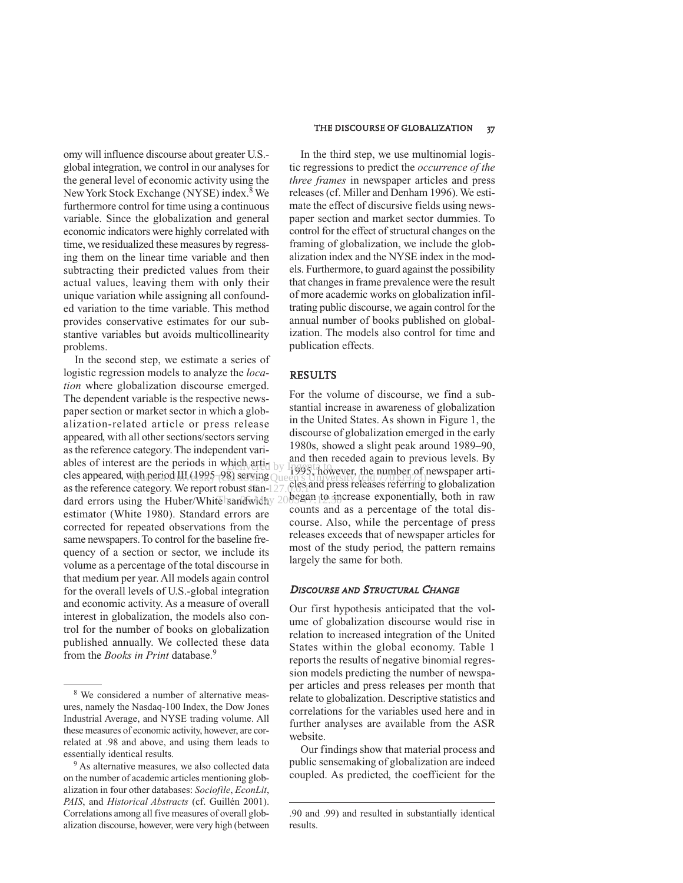omy will influence discourse about greater U.S. global integration, we control in our analyses for the general level of economic activity using the New York Stock Exchange (NYSE) index.<sup>8</sup> We furthermore control for time using a continuous variable. Since the globalization and general economic indicators were highly correlated with time, we residualized these measures by regressing them on the linear time variable and then subtracting their predicted values from their actual values, leaving them with only their unique variation while assigning all confounded variation to the time variable. This method provides conservative estimates for our substantive variables but avoids multicollinearity problems.

In the second step, we estimate a series of logistic regression models to analyze the *location* where globalization discourse emerged. The dependent variable is the respective newspaper section or market sector in which a globalization-related article or press release appeared, with all other sections/sectors serving as the reference category. The independent variables of interest are the periods in which articles appeared, with period III (1995–98) serving  $\overline{Q}$ ueen's University (cid 77011973) as the reference category. We report robust stan-127. $\circ$ dard errors using the Huber/White sandwichy 2005 gan 19:30 estimator (White 1980). Standard errors are corrected for repeated observations from the same newspapers. To control for the baseline frequency of a section or sector, we include its volume as a percentage of the total discourse in that medium per year. All models again control for the overall levels of U.S.-global integration and economic activity. As a measure of overall interest in globalization, the models also control for the number of books on globalization published annually. We collected these data from the *Books in Print* database.9

In the third step, we use multinomial logistic regressions to predict the *occurrence of the three frames* in newspaper articles and press releases (cf. Miller and Denham 1996). We estimate the effect of discursive fields using newspaper section and market sector dummies. To control for the effect of structural changes on the framing of globalization, we include the globalization index and the NYSE index in the models. Furthermore, to guard against the possibility that changes in frame prevalence were the result of more academic works on globalization infiltrating public discourse, we again control for the annual number of books published on globalization. The models also control for time and publication effects.

#### RESULTS

For the volume of discourse, we find a substantial increase in awareness of globalization in the United States. As shown in Figure 1, the discourse of globalization emerged in the early 1980s, showed a slight peak around 1989–90, and then receded again to previous levels. By  $\frac{1995}{2995}$  however, the number of newspaper articles and press releases referring to globalization began to increase exponentially, both in raw counts and as a percentage of the total discourse. Also, while the percentage of press releases exceeds that of newspaper articles for most of the study period, the pattern remains largely the same for both.

#### DISCOURSE AND STRUCTURAL CHANGE

Our first hypothesis anticipated that the volume of globalization discourse would rise in relation to increased integration of the United States within the global economy. Table 1 reports the results of negative binomial regression models predicting the number of newspaper articles and press releases per month that relate to globalization. Descriptive statistics and correlations for the variables used here and in further analyses are available from the ASR website.

Our findings show that material process and public sensemaking of globalization are indeed coupled. As predicted, the coefficient for the

<sup>8</sup> We considered a number of alternative measures, namely the Nasdaq-100 Index, the Dow Jones Industrial Average, and NYSE trading volume. All these measures of economic activity, however, are correlated at .98 and above, and using them leads to essentially identical results.

<sup>&</sup>lt;sup>9</sup> As alternative measures, we also collected data on the number of academic articles mentioning globalization in four other databases: *Sociofile*, *EconLit*, *PAIS*, and *Historical Abstracts* (cf. Guillén 2001). Correlations among all five measures of overall globalization discourse, however, were very high (between

<sup>.90</sup> and .99) and resulted in substantially identical results.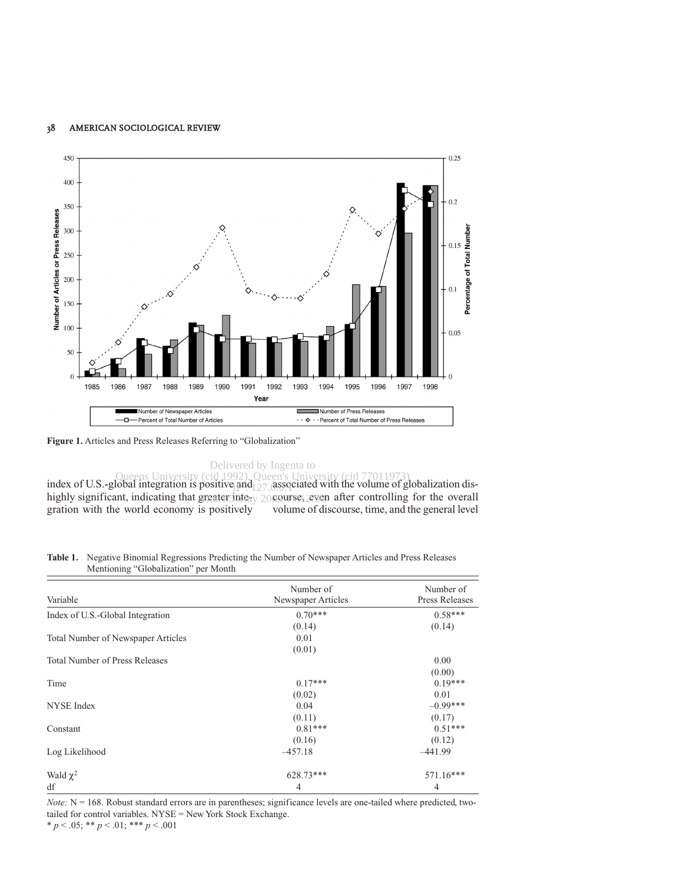

**Figure 1.** Articles and Press Releases Referring to "Globalization"

# Delivered by Ingenta to<br>Bid 1992) Oueen's Unive

Queens University (cid 1992), Queen's University (cid 77011973)<br>index of U.S.-global integration is positive and  $_{77}$  associated with the volume of globalization dishighly significant, indicating that greater inte<sub>ry</sub> 2009 urse, even after controlling for the overall gration with the world economy is positively volume of discourse, time, and the general level  $\text{Imd}_{127.0.889}$ 

| Variable                              | Number of<br>Newspaper Articles | Number of<br>Press Releases |
|---------------------------------------|---------------------------------|-----------------------------|
| Index of U.S.-Global Integration      | $0.70***$                       | $0.58***$                   |
|                                       | (0.14)                          | (0.14)                      |
| Total Number of Newspaper Articles    | 0.01                            |                             |
|                                       | (0.01)                          |                             |
| <b>Total Number of Press Releases</b> |                                 | 0.00                        |
|                                       |                                 | (0.00)                      |
| Time                                  | $0.17***$                       | $0.19***$                   |
|                                       | (0.02)                          | 0.01                        |
| NYSE Index                            | 0.04                            | $-0.99***$                  |
|                                       | (0.11)                          | (0.17)                      |
| Constant                              | $0.81***$                       | $0.51***$                   |
|                                       | (0.16)                          | (0.12)                      |
| Log Likelihood                        | $-457.18$                       | $-441.99$                   |
| Wald $\chi^2$                         | 628.73***                       | 571.16***                   |
| df                                    | 4                               | 4                           |

**Table 1.** Negative Binomial Regressions Predicting the Number of Newspaper Articles and Press Releases Mentioning "Globalization" per Month

*Note:* N = 168. Robust standard errors are in parentheses; significance levels are one-tailed where predicted, twotailed for control variables. NYSE = New York Stock Exchange.

\* *p* < .05; \*\* *p* < .01; \*\*\* *p* < .001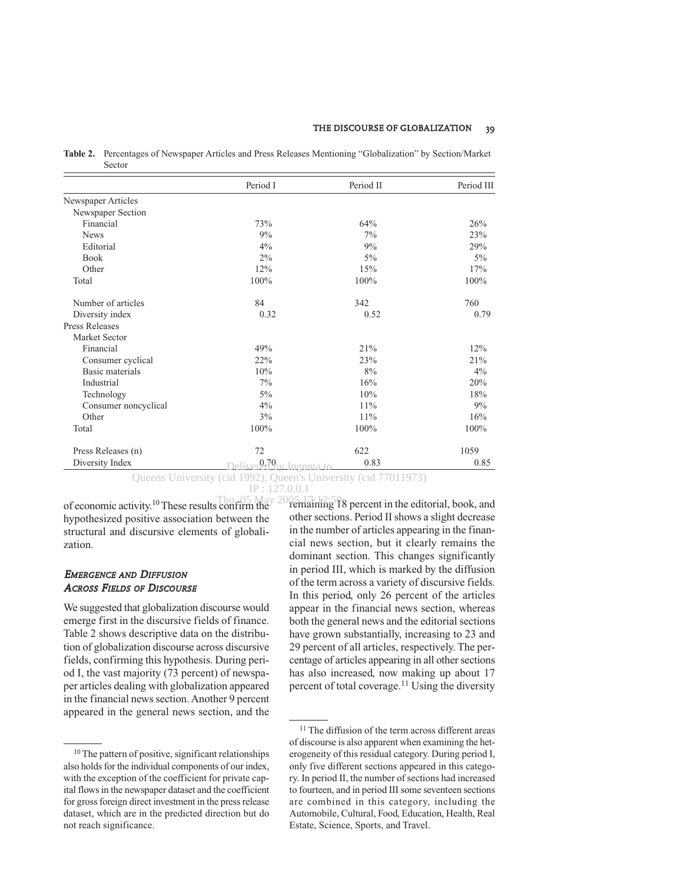|                      | Period I                              | Period II | Period III |
|----------------------|---------------------------------------|-----------|------------|
| Newspaper Articles   |                                       |           |            |
| Newspaper Section    |                                       |           |            |
| Financial            | 73%                                   | 64%       | 26%        |
| <b>News</b>          | 9%                                    | 7%        | 23%        |
| Editorial            | 4%                                    | 9%        | 29%        |
| <b>Book</b>          | $2\%$                                 | $5\%$     | $5\%$      |
| Other                | 12%                                   | 15%       | 17%        |
| Total                | 100%                                  | 100%      | 100%       |
| Number of articles   | 84                                    | 342       | 760        |
| Diversity index      | 0.32                                  | 0.52      | 0.79       |
| Press Releases       |                                       |           |            |
| Market Sector        |                                       |           |            |
| Financial            | 49%                                   | 21%       | 12%        |
| Consumer cyclical    | 22%                                   | 23%       | 21%        |
| Basic materials      | 10%                                   | 8%        | $4\%$      |
| Industrial           | 7%                                    | 16%       | 20%        |
| Technology           | $5\%$                                 | 10%       | 18%        |
| Consumer noncyclical | 4%                                    | $11\%$    | 9%         |
| Other                | 3%                                    | 11%       | 16%        |
| Total                | 100%                                  | 100%      | 100%       |
| Press Releases (n)   | 72                                    | 622       | 1059       |
| Diversity Index      | Deliver <sup>0,70</sup><br>Incenta to | 0.83      | 0.85       |

**Table 2.** Percentages of Newspaper Articles and Press Releases Mentioning "Globalization" by Section/Market Sector

Queens University (cid 1992), Queen's University (cid 77011973)

IP : 127.0.0.1

of economic activity.<sup>10</sup> These results confirm the 2005 17:12:50 hypothesized positive association between the structural and discursive elements of globalization.

# EMERGENCE AND DIFFUSION ACROSS FIELDS OF DISCOURSE

We suggested that globalization discourse would emerge first in the discursive fields of finance. Table 2 shows descriptive data on the distribution of globalization discourse across discursive fields, confirming this hypothesis. During period I, the vast majority (73 percent) of newspaper articles dealing with globalization appeared in the financial news section. Another 9 percent appeared in the general news section, and the

<sup>10</sup>The pattern of positive, significant relationships also holds for the individual components of our index, with the exception of the coefficient for private capital flows in the newspaper dataset and the coefficient for gross foreign direct investment in the press release dataset, which are in the predicted direction but do not reach significance.

remaining 18 percent in the editorial, book, and other sections. Period II shows a slight decrease in the number of articles appearing in the financial news section, but it clearly remains the dominant section. This changes significantly in period III, which is marked by the diffusion of the term across a variety of discursive fields. In this period, only 26 percent of the articles appear in the financial news section, whereas both the general news and the editorial sections have grown substantially, increasing to 23 and 29 percent of all articles, respectively. The percentage of articles appearing in all other sections has also increased, now making up about 17 percent of total coverage.<sup>11</sup> Using the diversity

<sup>&</sup>lt;sup>11</sup> The diffusion of the term across different areas of discourse is also apparent when examining the heterogeneity of this residual category. During period I, only five different sections appeared in this category. In period II, the number of sections had increased to fourteen, and in period III some seventeen sections are combined in this category, including the Automobile, Cultural, Food, Education, Health, Real Estate, Science, Sports, and Travel.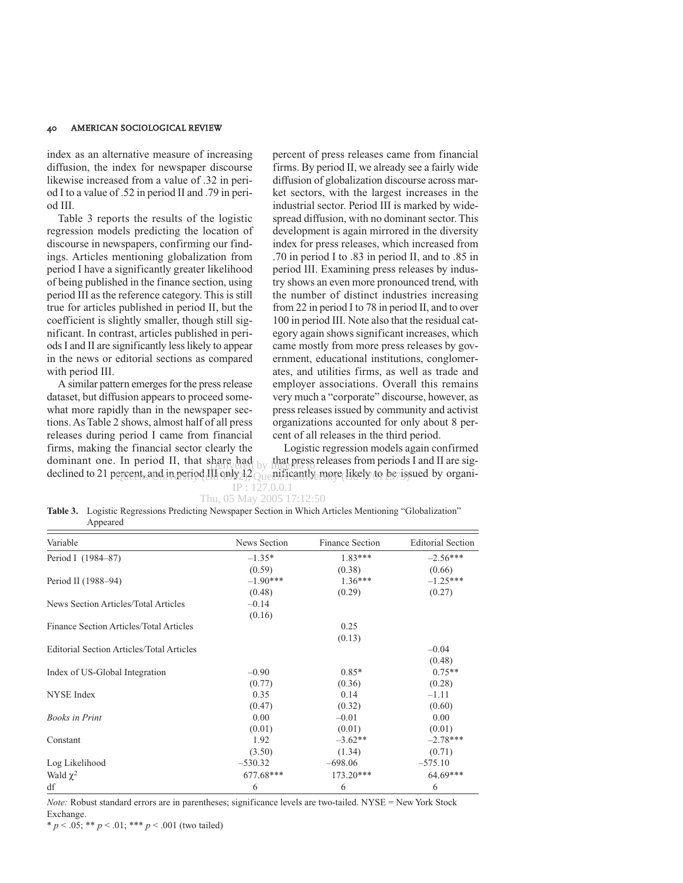index as an alternative measure of increasing diffusion, the index for newspaper discourse likewise increased from a value of .32 in period I to a value of .52 in period II and .79 in period III.

Table 3 reports the results of the logistic regression models predicting the location of discourse in newspapers, confirming our findings. Articles mentioning globalization from period I have a significantly greater likelihood of being published in the finance section, using period III as the reference category. This is still true for articles published in period II, but the coefficient is slightly smaller, though still significant. In contrast, articles published in periods I and II are significantly less likely to appear in the news or editorial sections as compared with period III.

A similar pattern emerges for the press release dataset, but diffusion appears to proceed somewhat more rapidly than in the newspaper sections. As Table 2 shows, almost half of all press releases during period I came from financial firms, making the financial sector clearly the dominant one. In period II, that share had

percent of press releases came from financial firms. By period II, we already see a fairly wide diffusion of globalization discourse across market sectors, with the largest increases in the industrial sector. Period III is marked by widespread diffusion, with no dominant sector. This development is again mirrored in the diversity index for press releases, which increased from .70 in period I to .83 in period II, and to .85 in period III. Examining press releases by industry shows an even more pronounced trend, with the number of distinct industries increasing from 22 in period I to 78 in period II, and to over 100 in period III. Note also that the residual category again shows significant increases, which came mostly from more press releases by government, educational institutions, conglomerates, and utilities firms, as well as trade and employer associations. Overall this remains very much a "corporate" discourse, however, as press releases issued by community and activist organizations accounted for only about 8 percent of all releases in the third period.

declined to 21 percent, and in period III only  $1$ ,  $\overline{Q}$  we unificantly more likely to be issued by organi-Logistic regression models again confirmed that press releases from periods I and II are sig-

#### IP : 127.0.0.1 Thu, 05 May 2005 17:12:50

**Table 3.** Logistic Regressions Predicting Newspaper Section in Which Articles Mentioning "Globalization" Appeared

| Variable                                         | News Section | Finance Section | <b>Editorial Section</b> |
|--------------------------------------------------|--------------|-----------------|--------------------------|
| Period I (1984-87)                               | $-1.35*$     | $1.83***$       | $-2.56***$               |
|                                                  | (0.59)       | (0.38)          | (0.66)                   |
| Period II (1988–94)                              | $-1.90***$   | $1.36***$       | $-1.25***$               |
|                                                  | (0.48)       | (0.29)          | (0.27)                   |
| News Section Articles/Total Articles             | $-0.14$      |                 |                          |
|                                                  | (0.16)       |                 |                          |
| Finance Section Articles/Total Articles          |              | 0.25            |                          |
|                                                  |              | (0.13)          |                          |
| <b>Editorial Section Articles/Total Articles</b> |              |                 | $-0.04$                  |
|                                                  |              |                 | (0.48)                   |
| Index of US-Global Integration                   | $-0.90$      | $0.85*$         | $0.75**$                 |
|                                                  | (0.77)       | (0.36)          | (0.28)                   |
| NYSE Index                                       | 0.35         | 0.14            | $-1.11$                  |
|                                                  | (0.47)       | (0.32)          | (0.60)                   |
| <b>Books in Print</b>                            | 0.00         | $-0.01$         | 0.00                     |
|                                                  | (0.01)       | (0.01)          | (0.01)                   |
| Constant                                         | 1.92         | $-3.62**$       | $-2.78***$               |
|                                                  | (3.50)       | (1.34)          | (0.71)                   |
| Log Likelihood                                   | $-530.32$    | $-698.06$       | $-575.10$                |
| Wald $\chi^2$                                    | 677.68***    | $173.20***$     | 64.69***                 |
| df                                               | 6            | 6               | 6                        |

*Note:* Robust standard errors are in parentheses; significance levels are two-tailed. NYSE = New York Stock Exchange.

\* *p* < .05; \*\* *p* < .01; \*\*\* *p* < .001 (two tailed)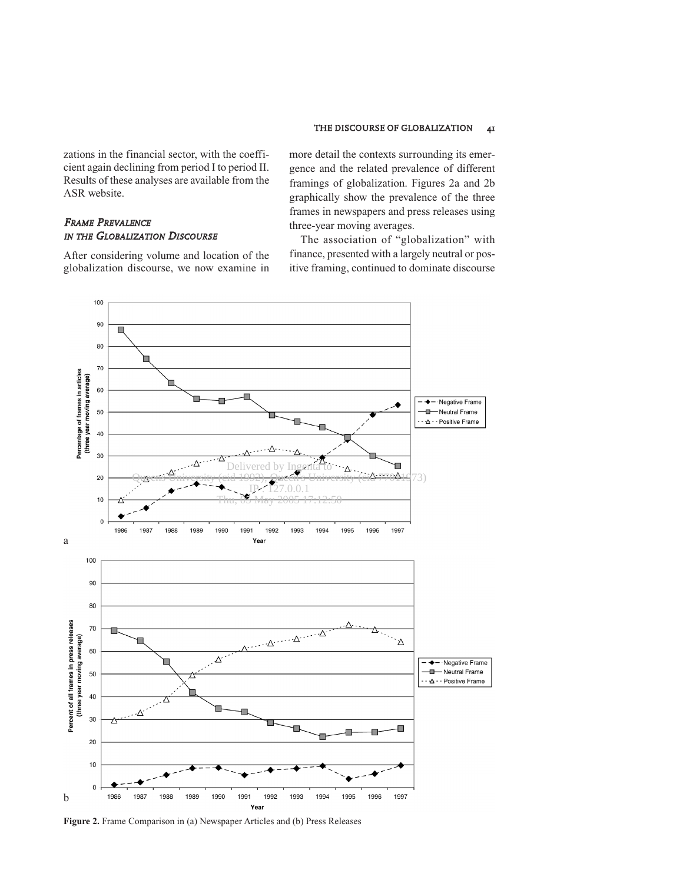zations in the financial sector, with the coefficient again declining from period I to period II. Results of these analyses are available from the ASR website.

# FRAME PREVALENCE IN THE GLOBALIZATION DISCOURSE

After considering volume and location of the globalization discourse, we now examine in more detail the contexts surrounding its emergence and the related prevalence of different framings of globalization. Figures 2a and 2b graphically show the prevalence of the three frames in newspapers and press releases using three-year moving averages.

The association of "globalization" with finance, presented with a largely neutral or positive framing, continued to dominate discourse



**Figure 2.** Frame Comparison in (a) Newspaper Articles and (b) Press Releases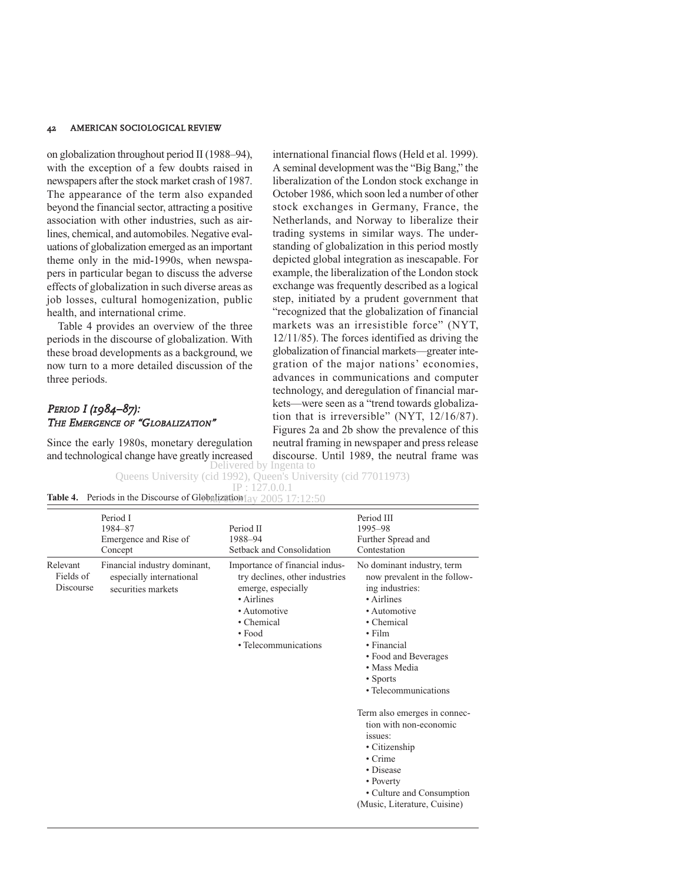#### AMERICAN SOCIOLOGICAL REVIEW

on globalization throughout period II (1988–94), with the exception of a few doubts raised in newspapers after the stock market crash of 1987. The appearance of the term also expanded beyond the financial sector, attracting a positive association with other industries, such as airlines, chemical, and automobiles. Negative evaluations of globalization emerged as an important theme only in the mid-1990s, when newspapers in particular began to discuss the adverse effects of globalization in such diverse areas as job losses, cultural homogenization, public health, and international crime.

Table 4 provides an overview of the three periods in the discourse of globalization. With these broad developments as a background, we now turn to a more detailed discussion of the three periods.

# PERIOD I (1984-87): THE EMERGENCE OF "GLOBALIZATION"

Since the early 1980s, monetary deregulation and technological change have greatly increased

international financial flows (Held et al. 1999). A seminal development was the "Big Bang," the liberalization of the London stock exchange in October 1986, which soon led a number of other stock exchanges in Germany, France, the Netherlands, and Norway to liberalize their trading systems in similar ways. The understanding of globalization in this period mostly depicted global integration as inescapable. For example, the liberalization of the London stock exchange was frequently described as a logical step, initiated by a prudent government that "recognized that the globalization of financial markets was an irresistible force" (NYT, 12/11/85). The forces identified as driving the globalization of financial markets—greater integration of the major nations' economies, advances in communications and computer technology, and deregulation of financial markets—were seen as a "trend towards globalization that is irreversible" (NYT, 12/16/87). Figures 2a and 2b show the prevalence of this neutral framing in newspaper and press release discourse. Until 1989, the neutral frame was Delivered by Ingenta to

Queens University (cid 1992), Queen's University (cid 77011973)

IP : 127.0.0.1

|                                    | Period I<br>1984-87<br>Emergence and Rise of<br>Concept                        | Period II<br>1988-94<br>Setback and Consolidation                                                                                                                            | Period III<br>1995-98<br>Further Spread and<br>Contestation                                                                                                                                                                                                                                                                                   |
|------------------------------------|--------------------------------------------------------------------------------|------------------------------------------------------------------------------------------------------------------------------------------------------------------------------|-----------------------------------------------------------------------------------------------------------------------------------------------------------------------------------------------------------------------------------------------------------------------------------------------------------------------------------------------|
| Relevant<br>Fields of<br>Discourse | Financial industry dominant,<br>especially international<br>securities markets | Importance of financial indus-<br>try declines, other industries<br>emerge, especially<br>• Airlines<br>• Automotive<br>• Chemical<br>$\bullet$ Food<br>• Telecommunications | No dominant industry, term<br>now prevalent in the follow-<br>ing industries:<br>• Airlines<br>• Automotive<br>• Chemical<br>$\cdot$ Film<br>• Financial<br>• Food and Beverages<br>• Mass Media<br>• Sports<br>• Telecommunications<br>Term also emerges in connec-<br>tion with non-economic<br>issues:<br>• Citizenship<br>$\bullet$ Crime |
|                                    |                                                                                |                                                                                                                                                                              | • Disease<br>• Poverty<br>• Culture and Consumption<br>(Music, Literature, Cuisine)                                                                                                                                                                                                                                                           |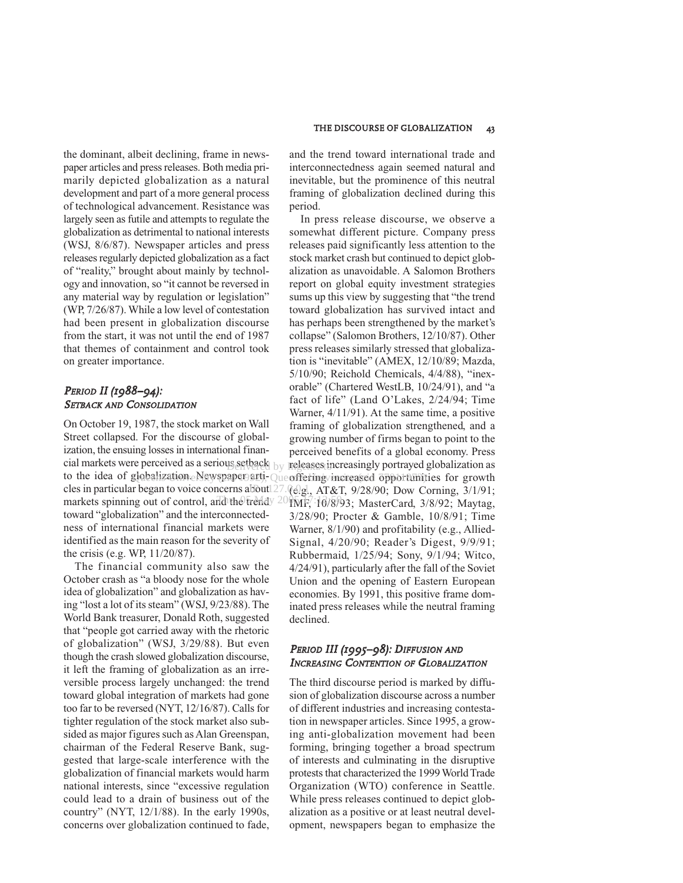the dominant, albeit declining, frame in newspaper articles and press releases. Both media primarily depicted globalization as a natural development and part of a more general process of technological advancement. Resistance was largely seen as futile and attempts to regulate the globalization as detrimental to national interests (WSJ, 8/6/87). Newspaper articles and press releases regularly depicted globalization as a fact of "reality," brought about mainly by technology and innovation, so "it cannot be reversed in any material way by regulation or legislation" (WP, 7/26/87). While a low level of contestation had been present in globalization discourse from the start, it was not until the end of 1987 that themes of containment and control took on greater importance.

## PERIOD II (1988-94): **SETBACK AND CONSOLIDATION**

On October 19, 1987, the stock market on Wall Street collapsed. For the discourse of globalization, the ensuing losses in international financial markets were perceived as a serious setback by Ineleases in to the idea of globalization. Nawspaper arti-Queenfering increased opportunities for growth cles in particular began to voice concerns about  $27.0$ ,  $Qg$ , AT&T, 9/28/90; Dow Corning, 3/1/91; markets spinning out of control, and the trendy  $^{20}$  MF,  $16/8/93$ ; MasterCard,  $3/8/92$ ; Maytag, toward "globalization" and the interconnectedness of international financial markets were identified as the main reason for the severity of the crisis (e.g. WP, 11/20/87).

The financial community also saw the October crash as "a bloody nose for the whole idea of globalization" and globalization as having "lost a lot of its steam" (WSJ, 9/23/88). The World Bank treasurer, Donald Roth, suggested that "people got carried away with the rhetoric of globalization" (WSJ, 3/29/88). But even though the crash slowed globalization discourse, it left the framing of globalization as an irreversible process largely unchanged: the trend toward global integration of markets had gone too far to be reversed (NYT, 12/16/87). Calls for tighter regulation of the stock market also subsided as major figures such as Alan Greenspan, chairman of the Federal Reserve Bank, suggested that large-scale interference with the globalization of financial markets would harm national interests, since "excessive regulation could lead to a drain of business out of the country" (NYT, 12/1/88). In the early 1990s, concerns over globalization continued to fade,

and the trend toward international trade and interconnectedness again seemed natural and inevitable, but the prominence of this neutral framing of globalization declined during this period.

In press release discourse, we observe a somewhat different picture. Company press releases paid significantly less attention to the stock market crash but continued to depict globalization as unavoidable. A Salomon Brothers report on global equity investment strategies sums up this view by suggesting that "the trend toward globalization has survived intact and has perhaps been strengthened by the market's collapse" (Salomon Brothers, 12/10/87). Other press releases similarly stressed that globalization is "inevitable" (AMEX, 12/10/89; Mazda, 5/10/90; Reichold Chemicals, 4/4/88), "inexorable" (Chartered WestLB, 10/24/91), and "a fact of life" (Land O'Lakes, 2/24/94; Time Warner, 4/11/91). At the same time, a positive framing of globalization strengthened, and a growing number of firms began to point to the perceived benefits of a global economy. Press releases increasingly portrayed globalization as 3/28/90; Procter & Gamble, 10/8/91; Time Warner, 8/1/90) and profitability (e.g., Allied-Signal, 4/20/90; Reader's Digest, 9/9/91; Rubbermaid, 1/25/94; Sony, 9/1/94; Witco, 4/24/91), particularly after the fall of the Soviet Union and the opening of Eastern European economies. By 1991, this positive frame dominated press releases while the neutral framing declined.

## PERIOD III (1995–98): DIFFUSION AND INCREASING CONTENTION OF GLOBALIZATION

The third discourse period is marked by diffusion of globalization discourse across a number of different industries and increasing contestation in newspaper articles. Since 1995, a growing anti-globalization movement had been forming, bringing together a broad spectrum of interests and culminating in the disruptive protests that characterized the 1999 World Trade Organization (WTO) conference in Seattle. While press releases continued to depict globalization as a positive or at least neutral development, newspapers began to emphasize the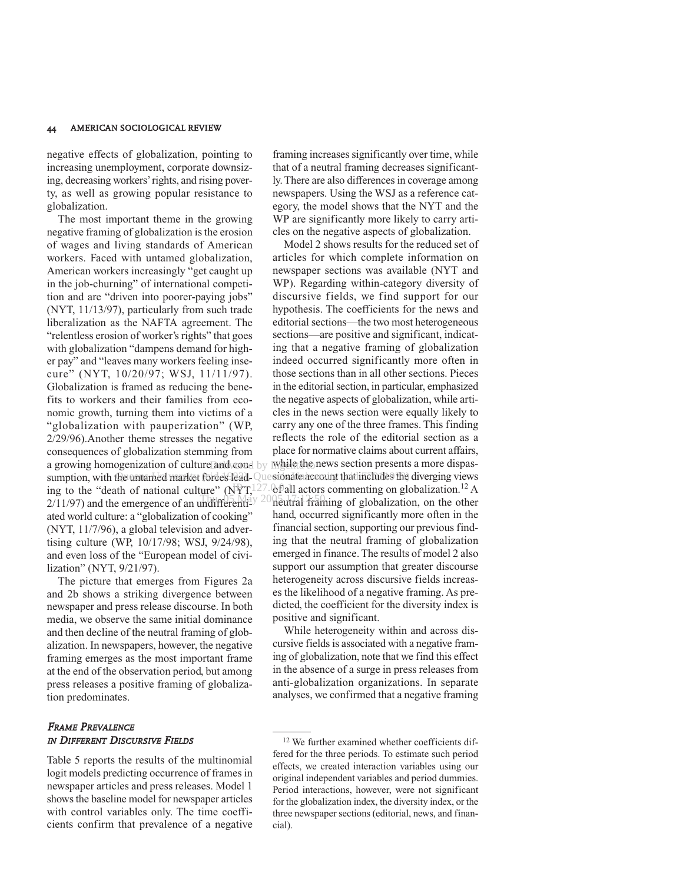negative effects of globalization, pointing to increasing unemployment, corporate downsizing, decreasing workers'rights, and rising poverty, as well as growing popular resistance to globalization.

The most important theme in the growing negative framing of globalization is the erosion of wages and living standards of American workers. Faced with untamed globalization, American workers increasingly "get caught up in the job-churning" of international competition and are "driven into poorer-paying jobs" (NYT, 11/13/97), particularly from such trade liberalization as the NAFTA agreement. The "relentless erosion of worker's rights" that goes with globalization "dampens demand for higher pay" and "leaves many workers feeling insecure" (NYT, 10/20/97; WSJ, 11/11/97). Globalization is framed as reducing the benefits to workers and their families from economic growth, turning them into victims of a "globalization with pauperization" (WP, 2/29/96).Another theme stresses the negative consequences of globalization stemming from a growing homogenization of culture and cond by Ingile the sumption, with the untamed market forces lead. Que sionate account that includes the diverging views ing to the "death of national culture" (NYT, 2/11/97) and the emergence of an undifferentiated world culture: a "globalization of cooking" (NYT, 11/7/96), a global television and advertising culture (WP, 10/17/98; WSJ, 9/24/98), and even loss of the "European model of civilization" (NYT, 9/21/97).

The picture that emerges from Figures 2a and 2b shows a striking divergence between newspaper and press release discourse. In both media, we observe the same initial dominance and then decline of the neutral framing of globalization. In newspapers, however, the negative framing emerges as the most important frame at the end of the observation period, but among press releases a positive framing of globalization predominates.

#### FRAME PREVALENCE IN DIFFERENT DISCURSIVE FIELDS

Table 5 reports the results of the multinomial logit models predicting occurrence of frames in newspaper articles and press releases. Model 1 shows the baseline model for newspaper articles with control variables only. The time coefficients confirm that prevalence of a negative framing increases significantly over time, while that of a neutral framing decreases significantly. There are also differences in coverage among newspapers. Using the WSJ as a reference category, the model shows that the NYT and the WP are significantly more likely to carry articles on the negative aspects of globalization.

Model 2 shows results for the reduced set of articles for which complete information on newspaper sections was available (NYT and WP). Regarding within-category diversity of discursive fields, we find support for our hypothesis. The coefficients for the news and editorial sections—the two most heterogeneous sections—are positive and significant, indicating that a negative framing of globalization indeed occurred significantly more often in those sections than in all other sections. Pieces in the editorial section, in particular, emphasized the negative aspects of globalization, while articles in the news section were equally likely to carry any one of the three frames. This finding reflects the role of the editorial section as a place for normative claims about current affairs, while the news section presents a more dispas- $\mathbb{F}T^{127.0}_{\cdot}$  of all actors commenting on globalization.<sup>12</sup> A Indifferenti-<br>Indifferenti-<br> $\frac{1}{2}$  2005 ultral framing of globalization, on the other hand, occurred significantly more often in the financial section, supporting our previous finding that the neutral framing of globalization emerged in finance. The results of model 2 also support our assumption that greater discourse heterogeneity across discursive fields increases the likelihood of a negative framing. As predicted, the coefficient for the diversity index is positive and significant.

> While heterogeneity within and across discursive fields is associated with a negative framing of globalization, note that we find this effect in the absence of a surge in press releases from anti-globalization organizations. In separate analyses, we confirmed that a negative framing

<sup>12</sup> We further examined whether coefficients differed for the three periods. To estimate such period effects, we created interaction variables using our original independent variables and period dummies. Period interactions, however, were not significant for the globalization index, the diversity index, or the three newspaper sections (editorial, news, and financial).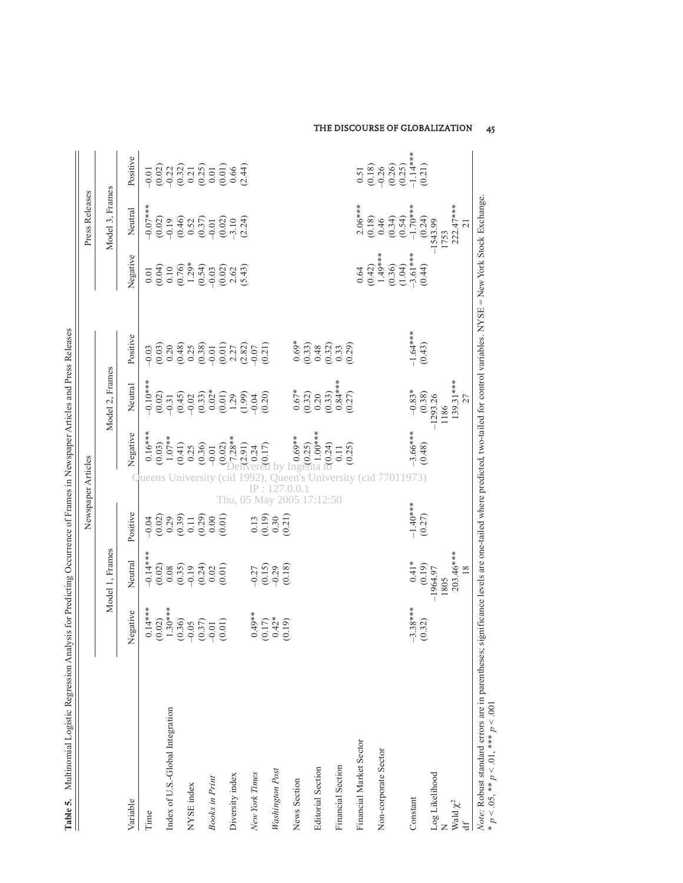|                                                                                                   |                                                          |                                                                                                 |                                                                   | Newspaper Articles |                                                                  |                                                                                                                                                                                                                                                                                                                                                                                                                                                                                                          |                                                                                                                                                                                                                                                               |                                                                                                                       | Press Releases                                                                                                                                                                                                                                                                                                                                    |                                    |
|---------------------------------------------------------------------------------------------------|----------------------------------------------------------|-------------------------------------------------------------------------------------------------|-------------------------------------------------------------------|--------------------|------------------------------------------------------------------|----------------------------------------------------------------------------------------------------------------------------------------------------------------------------------------------------------------------------------------------------------------------------------------------------------------------------------------------------------------------------------------------------------------------------------------------------------------------------------------------------------|---------------------------------------------------------------------------------------------------------------------------------------------------------------------------------------------------------------------------------------------------------------|-----------------------------------------------------------------------------------------------------------------------|---------------------------------------------------------------------------------------------------------------------------------------------------------------------------------------------------------------------------------------------------------------------------------------------------------------------------------------------------|------------------------------------|
|                                                                                                   |                                                          | Model 1, Frames                                                                                 |                                                                   |                    |                                                                  | Model 2, Frames                                                                                                                                                                                                                                                                                                                                                                                                                                                                                          |                                                                                                                                                                                                                                                               |                                                                                                                       | Model 3, Frames                                                                                                                                                                                                                                                                                                                                   |                                    |
| Variable                                                                                          | Negative                                                 | Neutral                                                                                         | Positive                                                          |                    | Negative                                                         | Neutral                                                                                                                                                                                                                                                                                                                                                                                                                                                                                                  | Positive                                                                                                                                                                                                                                                      | Negative                                                                                                              | Neutral                                                                                                                                                                                                                                                                                                                                           | Positive                           |
| Time                                                                                              | $0.14***$                                                | $-0.14***$                                                                                      |                                                                   |                    | $0.16***$                                                        | $-0.10***$                                                                                                                                                                                                                                                                                                                                                                                                                                                                                               |                                                                                                                                                                                                                                                               | 0.01                                                                                                                  |                                                                                                                                                                                                                                                                                                                                                   |                                    |
| Index of U.S.-Global Integration                                                                  | $(0.02)$<br>1.30***                                      |                                                                                                 | $0.02$<br>$0.02$<br>$0.39$<br>$0.39$                              |                    | $(0.03)$<br>1.07**                                               |                                                                                                                                                                                                                                                                                                                                                                                                                                                                                                          |                                                                                                                                                                                                                                                               |                                                                                                                       |                                                                                                                                                                                                                                                                                                                                                   |                                    |
| NYSE index                                                                                        | (0.36)                                                   |                                                                                                 |                                                                   |                    |                                                                  |                                                                                                                                                                                                                                                                                                                                                                                                                                                                                                          |                                                                                                                                                                                                                                                               |                                                                                                                       |                                                                                                                                                                                                                                                                                                                                                   |                                    |
| <b>Books</b> in Print                                                                             | $\begin{array}{c} (0.37) \\ -0.01 \\ (0.01) \end{array}$ | $\begin{array}{c} (0.02) \\ 0.08 \\ 0.35 \\ 0.19 \\ -1.19 \\ 0.024 \\ 0.01 \\ 0.01 \end{array}$ | $\begin{array}{c} (11) \\ (0.29) \\ (0.01) \\ (0.01) \end{array}$ |                    | $(0.41)$<br>$0.25$<br>$0.36$<br>$-0.01$<br>$-0.02$<br>$-0.28$ ** | $\begin{array}{l} \begin{array}{l} \text{(i)} \ \text{(ii)} \ \text{(iii)} \ \text{(iv)} \ \text{(iv)} \ \text{(v)} \ \text{(v)} \ \text{(v)} \ \text{(v)} \ \text{(v)} \ \text{(v)} \ \text{(v)} \ \text{(v)} \ \text{(v)} \ \text{(v)} \ \text{(v)} \ \text{(v)} \ \text{(v)} \ \text{(v)} \ \text{(v)} \ \text{(v)} \ \text{(v)} \ \text{(v)} \ \text{(v)} \ \text{(v)} \ \text{(v)} \ \text{(v)} \ \text{(v)} \ \text{(v)} \ \text{(v)} \ \text{(v)} \ \text{(v)} \ \text{(v)} \ \text{(v)} \ \text$ | $\begin{array}{l} 0.000000\\ 0.000000\\ 0.000000\\ 0.000000\\ 0.000000\\ 0.000000\\ 0.000000\\ 0.00000\\ 0.00000\\ 0.00000\\ 0.00000\\ 0.00000\\ 0.00000\\ 0.00000\\ 0.00000\\ 0.00000\\ 0.00000\\ 0.00000\\ 0.00000\\ 0.00000\\ 0.00000\\ 0.00000\\ 0.00000$ | $(0.04)$ $(0.76)$ $(0.76)$ $(0.34)$ $(0.34)$ $(0.02)$ $(0.02)$ $(0.04)$ $(0.04)$ $(0.04)$                             | $\begin{array}{l} * \\ 0.01 \\ 0.02 \\ 0.03 \\ -0.04 \\ -0.04 \\ -0.04 \\ -0.04 \\ -0.04 \\ -0.04 \\ -0.04 \\ -0.04 \\ -0.04 \\ -0.04 \\ -0.04 \\ -0.04 \\ -0.04 \\ -0.04 \\ -0.04 \\ -0.04 \\ -0.04 \\ -0.04 \\ -0.04 \\ -0.04 \\ -0.04 \\ -0.04 \\ -0.04 \\ -0.04 \\ -0.04 \\ -0.04 \\ -0.04 \\ -0.04 \\ -0.04 \\ -0.04 \\ -0.04 \\ -0.04 \\ -$ |                                    |
| Diversity index                                                                                   |                                                          |                                                                                                 |                                                                   |                    |                                                                  |                                                                                                                                                                                                                                                                                                                                                                                                                                                                                                          |                                                                                                                                                                                                                                                               |                                                                                                                       |                                                                                                                                                                                                                                                                                                                                                   |                                    |
| New York Times                                                                                    | $0.49***$                                                |                                                                                                 | 0.13                                                              |                    | (2.91)<br>0.24                                                   |                                                                                                                                                                                                                                                                                                                                                                                                                                                                                                          |                                                                                                                                                                                                                                                               |                                                                                                                       |                                                                                                                                                                                                                                                                                                                                                   |                                    |
| Washington Post                                                                                   | $(0.17)$<br>$0.42*$<br>(0.19)                            | $7.5$<br>$7.5$<br>$7.5$<br>$7.8$<br>$7.8$<br>$0.18$                                             | $\begin{array}{c} (0.19) \\ 0.30 \\ (0.21) \end{array}$           |                    | (0.17)                                                           |                                                                                                                                                                                                                                                                                                                                                                                                                                                                                                          |                                                                                                                                                                                                                                                               |                                                                                                                       |                                                                                                                                                                                                                                                                                                                                                   |                                    |
| News Section                                                                                      |                                                          |                                                                                                 |                                                                   |                    | $0.69**$<br>(0.25)                                               | $\begin{array}{c} 0.67* \\ (0.32) \\ 0.20 \end{array}$                                                                                                                                                                                                                                                                                                                                                                                                                                                   |                                                                                                                                                                                                                                                               |                                                                                                                       |                                                                                                                                                                                                                                                                                                                                                   |                                    |
| Editorial Section                                                                                 |                                                          |                                                                                                 |                                                                   | 7:12:50            | $* * * 0$<br>$\bar{c}(0.24)$                                     |                                                                                                                                                                                                                                                                                                                                                                                                                                                                                                          |                                                                                                                                                                                                                                                               |                                                                                                                       |                                                                                                                                                                                                                                                                                                                                                   |                                    |
| Financial Section                                                                                 |                                                          |                                                                                                 |                                                                   |                    | (0.25)<br>$0.11\,$                                               | $\begin{array}{c} (0.33) \\ 0.84*** \end{array}$<br>(0.27)                                                                                                                                                                                                                                                                                                                                                                                                                                               | $\begin{array}{c} 0.69* \\ 0.33) \\ 0.48 \\ 0.32) \\ 0.033 \\ 0.029 \end{array}$                                                                                                                                                                              |                                                                                                                       |                                                                                                                                                                                                                                                                                                                                                   |                                    |
| Financial Market Sector                                                                           |                                                          |                                                                                                 |                                                                   |                    |                                                                  |                                                                                                                                                                                                                                                                                                                                                                                                                                                                                                          |                                                                                                                                                                                                                                                               | 0.64                                                                                                                  | $2.06***$                                                                                                                                                                                                                                                                                                                                         |                                    |
| Non-corporate Sector                                                                              |                                                          |                                                                                                 |                                                                   |                    |                                                                  |                                                                                                                                                                                                                                                                                                                                                                                                                                                                                                          |                                                                                                                                                                                                                                                               | $(0.42)$<br>1.49***<br>$(0.36)$<br>(1.04)                                                                             | $\begin{array}{c} (0.18) \\ 0.46 \\ 0.34) \\ (0.54) \end{array}$                                                                                                                                                                                                                                                                                  | 51<br>0.18<br>0.26<br>0.25<br>0.25 |
| Constant                                                                                          | $3.38***$<br>(0.32)                                      | $0.41*$<br>(0.19)<br>(9.19)<br>(-1964.97                                                        | $-1.40***$<br>(0.27)                                              |                    | $-3.66***$<br>(0.48)                                             | $-0.83*$<br>(0.38)<br>-1293.26                                                                                                                                                                                                                                                                                                                                                                                                                                                                           | $-1.64***$<br>(0.43)                                                                                                                                                                                                                                          | $-3.61***$<br>(0.44)                                                                                                  | $-1.70***$                                                                                                                                                                                                                                                                                                                                        | $-1.14***$<br>(0.21)               |
| Log Likelihood                                                                                    |                                                          | 1805                                                                                            |                                                                   |                    |                                                                  | 1186                                                                                                                                                                                                                                                                                                                                                                                                                                                                                                     |                                                                                                                                                                                                                                                               |                                                                                                                       | $(0.24)$<br>-1543.99<br>1753                                                                                                                                                                                                                                                                                                                      |                                    |
| Wald $\chi^2$                                                                                     |                                                          | 203.46****<br>18                                                                                |                                                                   |                    |                                                                  | 139.31 ***<br>27                                                                                                                                                                                                                                                                                                                                                                                                                                                                                         |                                                                                                                                                                                                                                                               |                                                                                                                       | $222.47***$<br>$\overline{21}$                                                                                                                                                                                                                                                                                                                    |                                    |
| Note: Robust standard errors are in parentheses;<br>* $p < 0.05$ , ** $p < 0.01$ , *** $p < 0.01$ |                                                          |                                                                                                 |                                                                   |                    |                                                                  |                                                                                                                                                                                                                                                                                                                                                                                                                                                                                                          |                                                                                                                                                                                                                                                               | significance levels are one-tailed where predicted, two-tailed for control variables. NYSE = New York Stock Exchange. |                                                                                                                                                                                                                                                                                                                                                   |                                    |

Table 5. Multinomial Logistic Regression Analysis for Predicting Occurrence of Frames in Newspaper Articles and Press Releases **Table 5.** Multinomial Logistic Regression Analysis for Predicting Occurrence of Frames in Newspaper Articles and Press Releases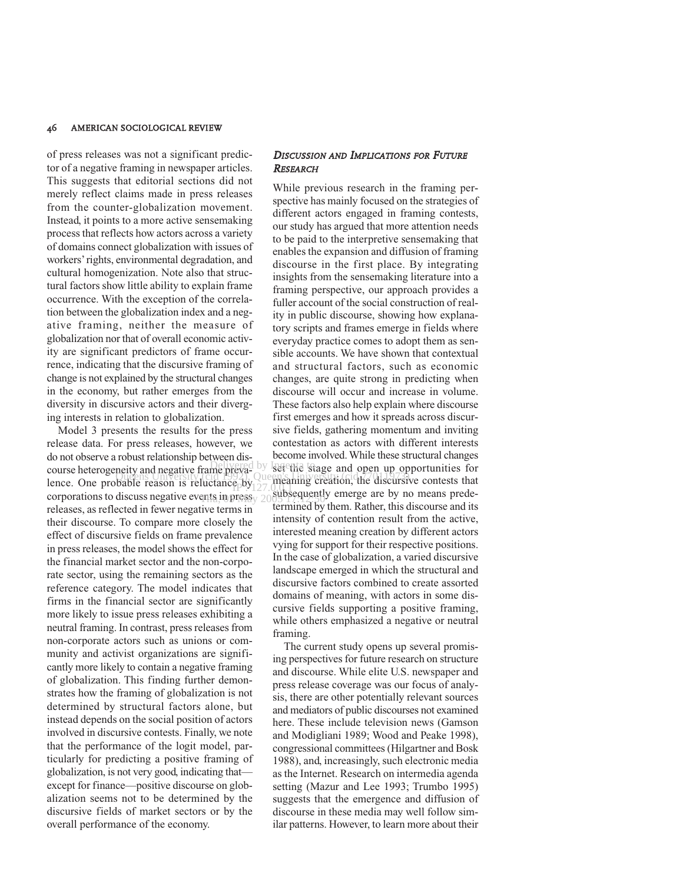of press releases was not a significant predictor of a negative framing in newspaper articles. This suggests that editorial sections did not merely reflect claims made in press releases from the counter-globalization movement. Instead, it points to a more active sensemaking process that reflects how actors across a variety of domains connect globalization with issues of workers'rights, environmental degradation, and cultural homogenization. Note also that structural factors show little ability to explain frame occurrence. With the exception of the correlation between the globalization index and a negative framing, neither the measure of globalization nor that of overall economic activity are significant predictors of frame occurrence, indicating that the discursive framing of change is not explained by the structural changes in the economy, but rather emerges from the diversity in discursive actors and their diverging interests in relation to globalization.

Model 3 presents the results for the press release data. For press releases, however, we do not observe a robust relationship between discourse heterogeneity and negative frame prevalence. One probable reason is reluctance  $b$   $y_{127}$  means corporations to discuss negative events in press<sub>y</sub> 2005 17:12:50 releases, as reflected in fewer negative terms in their discourse. To compare more closely the effect of discursive fields on frame prevalence in press releases, the model shows the effect for the financial market sector and the non-corporate sector, using the remaining sectors as the reference category. The model indicates that firms in the financial sector are significantly more likely to issue press releases exhibiting a neutral framing. In contrast, press releases from non-corporate actors such as unions or community and activist organizations are significantly more likely to contain a negative framing of globalization. This finding further demonstrates how the framing of globalization is not determined by structural factors alone, but instead depends on the social position of actors involved in discursive contests. Finally, we note that the performance of the logit model, particularly for predicting a positive framing of globalization, is not very good, indicating that except for finance—positive discourse on globalization seems not to be determined by the discursive fields of market sectors or by the overall performance of the economy.

#### DISCUSSION AND IMPLICATIONS FOR FUTURE RESEARCH

While previous research in the framing perspective has mainly focused on the strategies of different actors engaged in framing contests, our study has argued that more attention needs to be paid to the interpretive sensemaking that enables the expansion and diffusion of framing discourse in the first place. By integrating insights from the sensemaking literature into a framing perspective, our approach provides a fuller account of the social construction of reality in public discourse, showing how explanatory scripts and frames emerge in fields where everyday practice comes to adopt them as sensible accounts. We have shown that contextual and structural factors, such as economic changes, are quite strong in predicting when discourse will occur and increase in volume. These factors also help explain where discourse first emerges and how it spreads across discursive fields, gathering momentum and inviting contestation as actors with different interests become involved. While these structural changes Delivered by Resettie stage and open up opportunities for meaning and interests that the discursive contests that based in the discursive contests that subsequently emerge are by no means predetermined by them. Rather, this discourse and its intensity of contention result from the active, interested meaning creation by different actors vying for support for their respective positions. In the case of globalization, a varied discursive landscape emerged in which the structural and discursive factors combined to create assorted domains of meaning, with actors in some discursive fields supporting a positive framing, while others emphasized a negative or neutral framing.

> The current study opens up several promising perspectives for future research on structure and discourse. While elite U.S. newspaper and press release coverage was our focus of analysis, there are other potentially relevant sources and mediators of public discourses not examined here. These include television news (Gamson and Modigliani 1989; Wood and Peake 1998), congressional committees (Hilgartner and Bosk 1988), and, increasingly, such electronic media as the Internet. Research on intermedia agenda setting (Mazur and Lee 1993; Trumbo 1995) suggests that the emergence and diffusion of discourse in these media may well follow similar patterns. However, to learn more about their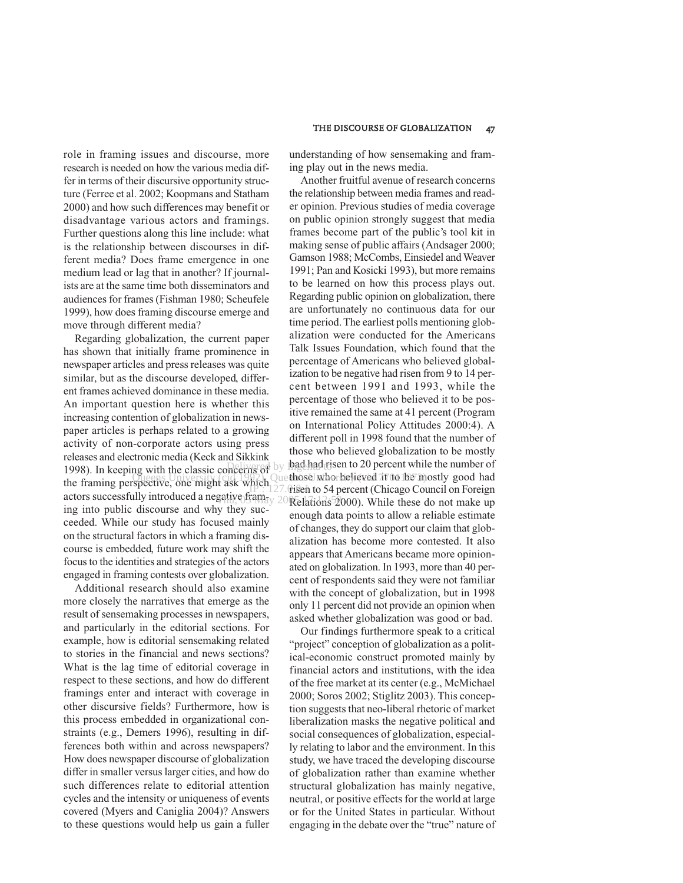role in framing issues and discourse, more research is needed on how the various media differ in terms of their discursive opportunity structure (Ferree et al. 2002; Koopmans and Statham 2000) and how such differences may benefit or disadvantage various actors and framings. Further questions along this line include: what is the relationship between discourses in different media? Does frame emergence in one medium lead or lag that in another? If journalists are at the same time both disseminators and audiences for frames (Fishman 1980; Scheufele 1999), how does framing discourse emerge and move through different media?

Regarding globalization, the current paper has shown that initially frame prominence in newspaper articles and press releases was quite similar, but as the discourse developed, different frames achieved dominance in these media. An important question here is whether this increasing contention of globalization in newspaper articles is perhaps related to a growing activity of non-corporate actors using press releases and electronic media (Keck and Sikkink 1998). In keeping with the classic concerns of by  $\frac{\text{badhad}}{\text{bad had}}$ the framing perspective, one might ask which actors successfully introduced a negative framing into public discourse and why they succeeded. While our study has focused mainly on the structural factors in which a framing discourse is embedded, future work may shift the focus to the identities and strategies of the actors engaged in framing contests over globalization.

Additional research should also examine more closely the narratives that emerge as the result of sensemaking processes in newspapers, and particularly in the editorial sections. For example, how is editorial sensemaking related to stories in the financial and news sections? What is the lag time of editorial coverage in respect to these sections, and how do different framings enter and interact with coverage in other discursive fields? Furthermore, how is this process embedded in organizational constraints (e.g., Demers 1996), resulting in differences both within and across newspapers? How does newspaper discourse of globalization differ in smaller versus larger cities, and how do such differences relate to editorial attention cycles and the intensity or uniqueness of events covered (Myers and Caniglia 2004)? Answers to these questions would help us gain a fuller

understanding of how sensemaking and framing play out in the news media.

Another fruitful avenue of research concerns the relationship between media frames and reader opinion. Previous studies of media coverage on public opinion strongly suggest that media frames become part of the public's tool kit in making sense of public affairs (Andsager 2000; Gamson 1988; McCombs, Einsiedel and Weaver 1991; Pan and Kosicki 1993), but more remains to be learned on how this process plays out. Regarding public opinion on globalization, there are unfortunately no continuous data for our time period. The earliest polls mentioning globalization were conducted for the Americans Talk Issues Foundation, which found that the percentage of Americans who believed globalization to be negative had risen from 9 to 14 percent between 1991 and 1993, while the percentage of those who believed it to be positive remained the same at 41 percent (Program on International Policy Attitudes 2000:4). A different poll in 1998 found that the number of those who believed globalization to be mostly bad had risen to 20 percent while the number of the who believed it to be most very present to be mostly good had  $r_{\rm max}^{\rm HOLII}$  127.0.1.18eh to 54 percent (Chicago Council on Foreign  $\frac{1}{2}$  at the stam  $\frac{1}{2}$  20 $\frac{1}{2}$  and  $\frac{1}{2}$  and  $\frac{1}{2}$  and  $\frac{1}{2}$  and  $\frac{1}{2}$  and  $\frac{1}{2}$  and  $\frac{1}{2}$  and  $\frac{1}{2}$  and  $\frac{1}{2}$  and  $\frac{1}{2}$  and  $\frac{1}{2}$  and  $\frac{1}{2}$  and  $\frac{1}{2}$  and  $\frac{1$ enough data points to allow a reliable estimate of changes, they do support our claim that globalization has become more contested. It also appears that Americans became more opinionated on globalization. In 1993, more than 40 percent of respondents said they were not familiar with the concept of globalization, but in 1998 only 11 percent did not provide an opinion when asked whether globalization was good or bad.

> Our findings furthermore speak to a critical "project" conception of globalization as a political-economic construct promoted mainly by financial actors and institutions, with the idea of the free market at its center (e.g., McMichael 2000; Soros 2002; Stiglitz 2003). This conception suggests that neo-liberal rhetoric of market liberalization masks the negative political and social consequences of globalization, especially relating to labor and the environment. In this study, we have traced the developing discourse of globalization rather than examine whether structural globalization has mainly negative, neutral, or positive effects for the world at large or for the United States in particular. Without engaging in the debate over the "true" nature of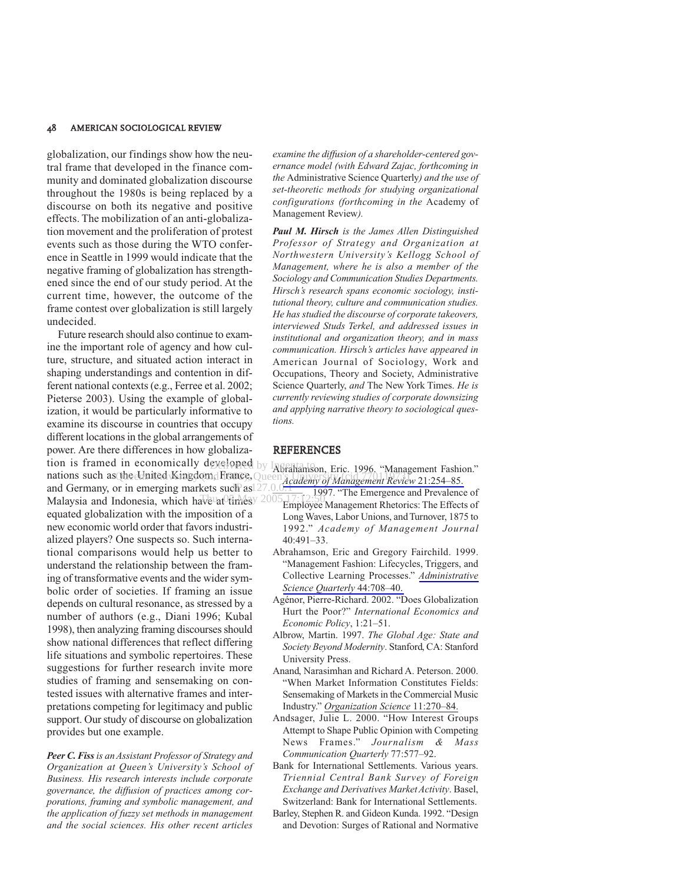globalization, our findings show how the neutral frame that developed in the finance community and dominated globalization discourse throughout the 1980s is being replaced by a discourse on both its negative and positive effects. The mobilization of an anti-globalization movement and the proliferation of protest events such as those during the WTO conference in Seattle in 1999 would indicate that the negative framing of globalization has strengthened since the end of our study period. At the current time, however, the outcome of the frame contest over globalization is still largely undecided.

Future research should also continue to examine the important role of agency and how culture, structure, and situated action interact in shaping understandings and contention in different national contexts (e.g., Ferree et al. 2002; Pieterse 2003). Using the example of globalization, it would be particularly informative to examine its discourse in countries that occupy different locations in the global arrangements of power. Are there differences in how globalization is framed in economically developed nations such as the United Kingdom, France, and Germany, or in emerging markets such as 27.0.0.1 and the Emergence and Prevalence and Prevalence and Prevalence Malaysia and Indonesia, which have at  $\frac{d}{dt}$  and  $\frac{d}{dt}$ equated globalization with the imposition of a new economic world order that favors industrialized players? One suspects so. Such international comparisons would help us better to understand the relationship between the framing of transformative events and the wider symbolic order of societies. If framing an issue depends on cultural resonance, as stressed by a number of authors (e.g., Diani 1996; Kubal 1998), then analyzing framing discourses should show national differences that reflect differing life situations and symbolic repertoires. These suggestions for further research invite more studies of framing and sensemaking on contested issues with alternative frames and interpretations competing for legitimacy and public support. Our study of discourse on globalization provides but one example. Qhe United Kingdom, France, Queen's University (city 770111973)  $\text{Im}\, \text{as} 127.0.0 \text{H}$  $\frac{1}{2}$  Wey  $\frac{1}{2}$  ( $\frac{1}{2}$   $\frac{1}{2}$   $\frac{1}{2}$   $\frac{1}{2}$   $\frac{1}{2}$   $\frac{1}{2}$   $\frac{1}{2}$   $\frac{1}{2}$   $\frac{1}{2}$   $\frac{1}{2}$   $\frac{1}{2}$   $\frac{1}{2}$   $\frac{1}{2}$   $\frac{1}{2}$   $\frac{1}{2}$   $\frac{1}{2}$   $\frac{1}{2}$   $\frac{1}{2}$   $\frac{1}{2}$   $\frac{1}{$ 

*Peer C. Fissis an Assistant Professor of Strategy and Organization at Queen's University's School of Business. His research interests include corporate governance, the diffusion of practices among corporations, framing and symbolic management, and the application of fuzzy set methods in management and the social sciences. His other recent articles*

*examine the diffusion of a shareholder-centered governance model (with Edward Zajac, forthcoming in the* Administrative Science Quarterly*) and the use of set-theoretic methods for studying organizational configurations (forthcoming in the* Academy of Management Review*).*

*Paul M. Hirsch is the James Allen Distinguished Professor of Strategy and Organization at Northwestern University's Kellogg School of Management, where he is also a member of the Sociology and Communication Studies Departments. Hirsch's research spans economic sociology, institutional theory, culture and communication studies. He has studied the discourse of corporate takeovers, interviewed Studs Terkel, and addressed issues in institutional and organization theory, and in mass communication. Hirsch's articles have appeared in* American Journal of Sociology, Work and Occupations, Theory and Society, Administrative Science Quarterly, *and* The New York Times. *He is currently reviewing studies of corporate downsizing and applying narrative theory to sociological questions.*

#### REFERENCES

- excloped by Ingentatison, Eric. 1996. "Management Fashion."
	- $\frac{7.01}{0.5 \times 17.1}$  1997. "The Emergence and Prevalence of Employee Management Rhetorics: The Effects of Long Waves, Labor Unions, and Turnover, 1875 to 1992." *Academy of Management Journal* 40:491–33.
	- Abrahamson, Eric and Gregory Fairchild. 1999. "Management Fashion: Lifecycles, Triggers, and Collective Learning Processes." *[Administrative](http://www.ingentaselect.com/rpsv/cgi-bin/linker?ext=a&reqidx=0001-8392()44L.708[aid=1111722]) [Science Quarterly](http://www.ingentaselect.com/rpsv/cgi-bin/linker?ext=a&reqidx=0001-8392()44L.708[aid=1111722])* 44:708–40.
	- Agénor, Pierre-Richard. 2002. "Does Globalization Hurt the Poor?" *International Economics and Economic Policy*, 1:21–51.
	- Albrow, Martin. 1997. *The Global Age: State and Society Beyond Modernity*. Stanford, CA: Stanford University Press.
	- Anand, Narasimhan and Richard A. Peterson. 2000. "When Market Information Constitutes Fields: Sensemaking of Markets in the Commercial Music Industry." *[Organization Science](http://www.ingentaselect.com/rpsv/cgi-bin/linker?ext=a&reqidx=1047-7039()11L.270[aid=6573289])* 11:270–84.
	- Andsager, Julie L. 2000. "How Interest Groups Attempt to Shape Public Opinion with Competing News Frames." *Journalism & Mass Communication Quarterly* 77:577–92.
	- Bank for International Settlements. Various years. *Triennial Central Bank Survey of Foreign Exchange and Derivatives Market Activity*. Basel, Switzerland: Bank for International Settlements.
	- Barley, Stephen R. and Gideon Kunda. 1992. "Design and Devotion: Surges of Rational and Normative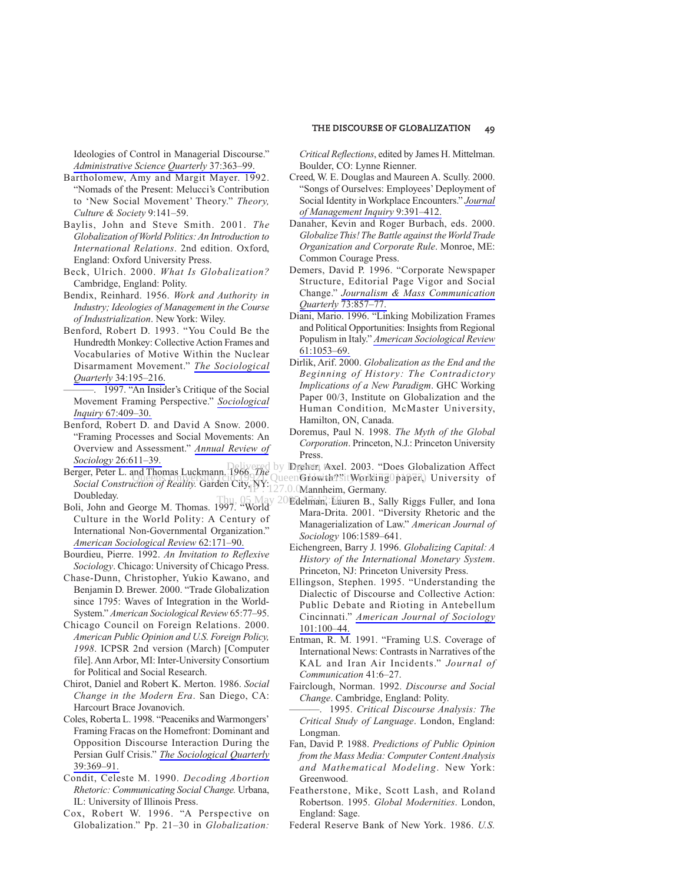Ideologies of Control in Managerial Discourse." *[Administrative Science Quarterly](http://www.ingentaselect.com/rpsv/cgi-bin/linker?ext=a&reqidx=0001-8392()37L.363[aid=341461])* 37:363–99.

- Bartholomew, Amy and Margit Mayer. 1992. "Nomads of the Present: Melucci's Contribution to 'New Social Movement' Theory." *Theory, Culture & Society* 9:141–59.
- Baylis, John and Steve Smith. 2001. *The Globalization of World Politics: An Introduction to International Relations*. 2nd edition. Oxford, England: Oxford University Press.
- Beck, Ulrich. 2000. *What Is Globalization?* Cambridge, England: Polity.
- Bendix, Reinhard. 1956. *Work and Authority in Industry; Ideologies of Management in the Course of Industrialization*. New York: Wiley.
- Benford, Robert D. 1993. "You Could Be the Hundredth Monkey: Collective Action Frames and Vocabularies of Motive Within the Nuclear Disarmament Movement." *[The Sociological](http://www.ingentaselect.com/rpsv/cgi-bin/linker?ext=a&reqidx=0038-0253()34L.195[aid=1800147]) Quarterly* [34:195–216.](http://www.ingentaselect.com/rpsv/cgi-bin/linker?ext=a&reqidx=0038-0253()34L.195[aid=1800147])
	- ———. 1997. "An Insider's Critique of the Social Movement Framing Perspective." *[Sociological](http://www.ingentaselect.com/rpsv/cgi-bin/linker?ext=a&reqidx=0038-0245()67L.409[aid=1325305]) Inquiry* [67:409–30.](http://www.ingentaselect.com/rpsv/cgi-bin/linker?ext=a&reqidx=0038-0245()67L.409[aid=1325305])
- Benford, Robert D. and David A Snow. 2000. "Framing Processes and Social Movements: An Overview and Assessment." *[Annual Review of](http://www.ingentaselect.com/rpsv/cgi-bin/linker?ext=a&reqidx=0360-0572()26L.611[aid=1415842]) Sociology* [26:611–39.](http://www.ingentaselect.com/rpsv/cgi-bin/linker?ext=a&reqidx=0360-0572()26L.611[aid=1415842])
- Berger, Peter L. and Thomas Luckmann. 1966. *The* Dreher, Axel. 2003. "Does Globalization Affect *Social Construction of Reality.* Garden City, NY: Doubleday.
- Boli, John and George M. Thomas. 1997. "World" Culture in the World Polity: A Century of International Non-Governmental Organization." *[American Sociological Review](http://www.ingentaselect.com/rpsv/cgi-bin/linker?ext=a&reqidx=0003-1224()62L.171[aid=221225])* 62:171–90.
- Bourdieu, Pierre. 1992. *An Invitation to Reflexive Sociology*. Chicago: University of Chicago Press.
- Chase-Dunn, Christopher, Yukio Kawano, and Benjamin D. Brewer. 2000. "Trade Globalization since 1795: Waves of Integration in the World-System." *American Sociological Review* 65:77–95.
- Chicago Council on Foreign Relations. 2000. *American Public Opinion and U.S. Foreign Policy, 1998*. ICPSR 2nd version (March) [Computer file]. Ann Arbor, MI: Inter-University Consortium for Political and Social Research.
- Chirot, Daniel and Robert K. Merton. 1986. *Social Change in the Modern Era*. San Diego, CA: Harcourt Brace Jovanovich.
- Coles, Roberta L. 1998. "Peaceniks and Warmongers' Framing Fracas on the Homefront: Dominant and Opposition Discourse Interaction During the Persian Gulf Crisis." *[The Sociological Quarterly](http://www.ingentaselect.com/rpsv/cgi-bin/linker?ext=a&reqidx=0038-0253()39L.369[aid=1800149])* [39:369–91.](http://www.ingentaselect.com/rpsv/cgi-bin/linker?ext=a&reqidx=0038-0253()39L.369[aid=1800149])
- Condit, Celeste M. 1990. *Decoding Abortion Rhetoric: Communicating Social Change.* Urbana, IL: University of Illinois Press.
- Cox, Robert W. 1996. "A Perspective on Globalization." Pp. 21–30 in *Globalization:*

*Critical Reflections*, edited by James H. Mittelman. Boulder, CO: Lynne Rienner.

- Creed, W. E. Douglas and Maureen A. Scully. 2000. "Songs of Ourselves: Employees' Deployment of Social Identity in Workplace Encounters." *[Journal](http://www.ingentaselect.com/rpsv/cgi-bin/linker?ext=a&reqidx=1056-4926()9L.391[aid=6573293]) [of Management Inquiry](http://www.ingentaselect.com/rpsv/cgi-bin/linker?ext=a&reqidx=1056-4926()9L.391[aid=6573293])* 9:391–412.
- Danaher, Kevin and Roger Burbach, eds. 2000. *Globalize This! The Battle against the World Trade Organization and Corporate Rule*. Monroe, ME: Common Courage Press.
- Demers, David P. 1996. "Corporate Newspaper Structure, Editorial Page Vigor and Social Change." *[Journalism & Mass Communication](http://www.ingentaselect.com/rpsv/cgi-bin/linker?ext=a&reqidx=1077-6990()73L.857[aid=6573292]) Quarterly* [73:857–77.](http://www.ingentaselect.com/rpsv/cgi-bin/linker?ext=a&reqidx=1077-6990()73L.857[aid=6573292])
- Diani, Mario. 1996. "Linking Mobilization Frames and Political Opportunities: Insights from Regional Populism in Italy." *[American Sociological Review](http://www.ingentaselect.com/rpsv/cgi-bin/linker?ext=a&reqidx=0003-1224()61L.1053[aid=1412429])* [61:1053–69.](http://www.ingentaselect.com/rpsv/cgi-bin/linker?ext=a&reqidx=0003-1224()61L.1053[aid=1412429])
- Dirlik, Arif. 2000. *Globalization as the End and the Beginning of History: The Contradictory Implications of a New Paradigm*. GHC Working Paper 00/3, Institute on Globalization and the Human Condition*,* McMaster University, Hamilton, ON, Canada.
- Doremus, Paul N. 1998. *The Myth of the Global Corporation*. Princeton, N.J.: Princeton University Press.
- 

QueenGrowth?" it Working Opaper, University of IP<sup>1</sup>:127.0.0Mannheim, Germany. queens Duckmann, 1999 one<br>Queens Davier (cid 771), Queen's Idwite? Sit Working Opaper)

- Thu, 05 May 20 Edelman, Lauren B., Sally Riggs Fuller, and Iona Mara-Drita. 2001. "Diversity Rhetoric and the Managerialization of Law." *American Journal of Sociology* 106:1589–641.
	- Eichengreen, Barry J. 1996. *Globalizing Capital: A History of the International Monetary System*. Princeton, NJ: Princeton University Press.
	- Ellingson, Stephen. 1995. "Understanding the Dialectic of Discourse and Collective Action: Public Debate and Rioting in Antebellum Cincinnati." *[American Journal of Sociology](http://www.ingentaselect.com/rpsv/cgi-bin/linker?ext=a&reqidx=0002-9602()101L.100[aid=2992184])* [101:100–44.](http://www.ingentaselect.com/rpsv/cgi-bin/linker?ext=a&reqidx=0002-9602()101L.100[aid=2992184])
	- Entman, R. M. 1991. "Framing U.S. Coverage of International News: Contrasts in Narratives of the KAL and Iran Air Incidents." *Journal of Communication* 41:6–27.
	- Fairclough, Norman. 1992. *Discourse and Social Change*. Cambridge, England: Polity.
	- ———. 1995. *Critical Discourse Analysis: The Critical Study of Language*. London, England: Longman.
	- Fan, David P. 1988. *Predictions of Public Opinion from the Mass Media: Computer Content Analysis and Mathematical Modeling*. New York: Greenwood.
	- Featherstone, Mike, Scott Lash, and Roland Robertson. 1995. *Global Modernities*. London, England: Sage.
	- Federal Reserve Bank of New York. 1986. *U.S.*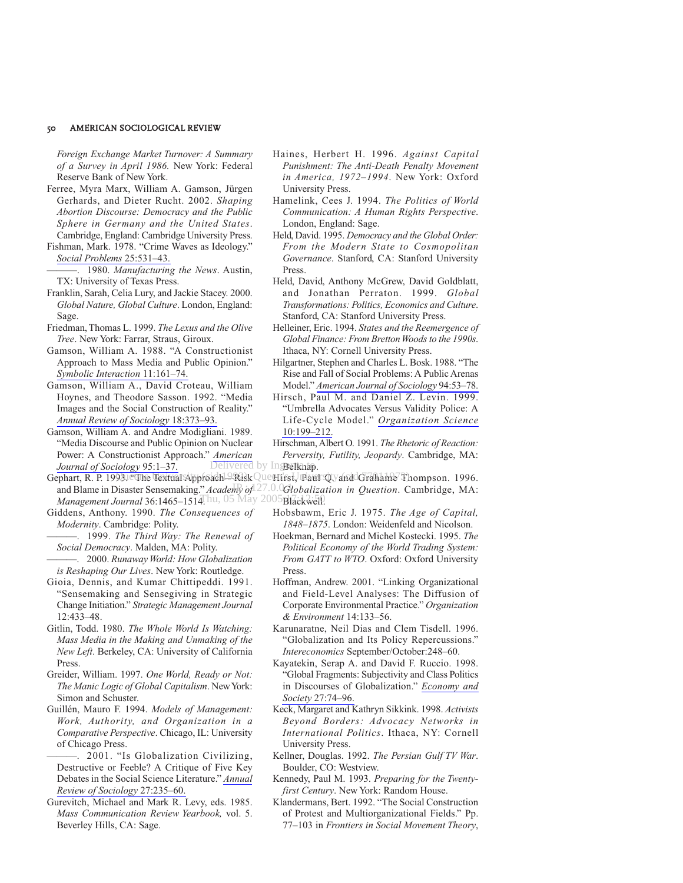*Foreign Exchange Market Turnover: A Summary of a Survey in April 1986.* New York: Federal Reserve Bank of New York.

- Ferree, Myra Marx, William A. Gamson, Jürgen Gerhards, and Dieter Rucht. 2002. *Shaping Abortion Discourse: Democracy and the Public Sphere in Germany and the United States*. Cambridge, England: Cambridge University Press.
- Fishman, Mark. 1978. "Crime Waves as Ideology." *[Social Problems](http://www.ingentaselect.com/rpsv/cgi-bin/linker?ext=a&reqidx=0037-7791()25L.531[aid=337826])* 25:531–43.

———. 1980. *Manufacturing the News*. Austin, TX: University of Texas Press.

- Franklin, Sarah, Celia Lury, and Jackie Stacey. 2000. *Global Nature, Global Culture*. London, England: Sage.
- Friedman, Thomas L. 1999. *The Lexus and the Olive Tree*. New York: Farrar, Straus, Giroux.
- Gamson, William A. 1988. "A Constructionist Approach to Mass Media and Public Opinion." *[Symbolic Interaction](http://www.ingentaselect.com/rpsv/cgi-bin/linker?ext=a&reqidx=0195-6086()11L.161[aid=360738])* 11:161–74.
- Gamson, William A., David Croteau, William Hoynes, and Theodore Sasson. 1992. "Media Images and the Social Construction of Reality." *[Annual Review of Sociology](http://www.ingentaselect.com/rpsv/cgi-bin/linker?ext=a&reqidx=0360-0572()18L.373[aid=773634])* 18:373–93.
- Gamson, William A. and Andre Modigliani. 1989. "Media Discourse and Public Opinion on Nuclear Power: A Constructionist Approach." *[American](http://www.ingentaselect.com/rpsv/cgi-bin/linker?ext=a&reqidx=0002-9602()95L.1[aid=65794]) [Journal of Sociology](http://www.ingentaselect.com/rpsv/cgi-bin/linker?ext=a&reqidx=0002-9602()95L.1[aid=65794])* 95:1–37. Delivered by IngBelknap.
- and Blame in Disaster Sensemaking." *Academy of* 27.0.0Gl Management Journal 36:1465–1514<sup>Phu, 05</sup> May 2005 Blackwell.
- Giddens, Anthony. 1990. *The Consequences of Modernity*. Cambridge: Polity.
	- ———. 1999. *The Third Way: The Renewal of Social Democracy*. Malden, MA: Polity.
	- ———. 2000. *Runaway World: How Globalization is Reshaping Our Lives*. New York: Routledge.
- Gioia, Dennis, and Kumar Chittipeddi. 1991. "Sensemaking and Sensegiving in Strategic Change Initiation." *Strategic Management Journal* 12:433–48.
- Gitlin, Todd. 1980. *The Whole World Is Watching: Mass Media in the Making and Unmaking of the New Left*. Berkeley, CA: University of California Press.
- Greider, William. 1997. *One World, Ready or Not: The Manic Logic of Global Capitalism*. New York: Simon and Schuster.
- Guillén, Mauro F. 1994. *Models of Management: Work, Authority, and Organization in a Comparative Perspective*. Chicago, IL: University of Chicago Press.

———. 2001. "Is Globalization Civilizing, Destructive or Feeble? A Critique of Five Key Debates in the Social Science Literature." *[Annual](http://www.ingentaselect.com/rpsv/cgi-bin/linker?ext=a&reqidx=0360-0572()27L.235[aid=1918466]) [Review of Sociology](http://www.ingentaselect.com/rpsv/cgi-bin/linker?ext=a&reqidx=0360-0572()27L.235[aid=1918466])* 27:235–60.

Gurevitch, Michael and Mark R. Levy, eds. 1985. *Mass Communication Review Yearbook,* vol. 5. Beverley Hills, CA: Sage.

- Haines, Herbert H. 1996. *Against Capital Punishment: The Anti-Death Penalty Movement in America, 1972–1994*. New York: Oxford University Press.
- Hamelink, Cees J. 1994. *The Politics of World Communication: A Human Rights Perspective*. London, England: Sage.
- Held, David. 1995. *Democracy and the Global Order: From the Modern State to Cosmopolitan Governance*. Stanford, CA: Stanford University Press.
- Held, David, Anthony McGrew, David Goldblatt, and Jonathan Perraton. 1999. *Global Transformations: Politics, Economics and Culture*. Stanford, CA: Stanford University Press.
- Helleiner, Eric. 1994. *States and the Reemergence of Global Finance: From Bretton Woods to the 1990s*. Ithaca, NY: Cornell University Press.
- Hilgartner, Stephen and Charles L. Bosk. 1988. "The Rise and Fall of Social Problems: A Public Arenas Model." *[American Journal of Sociology](http://www.ingentaselect.com/rpsv/cgi-bin/linker?ext=a&reqidx=0002-9602()94L.53[aid=351856])* 94:53–78.
- Hirsch, Paul M. and Daniel Z. Levin. 1999. "Umbrella Advocates Versus Validity Police: A Life-Cycle Model." *[Organization Science](http://www.ingentaselect.com/rpsv/cgi-bin/linker?ext=a&reqidx=1047-7039()10L.199[aid=5722035])* [10:199–212.](http://www.ingentaselect.com/rpsv/cgi-bin/linker?ext=a&reqidx=1047-7039()10L.199[aid=5722035])
- Hirschman, Albert O. 1991. *The Rhetoric of Reaction: Perversity, Futility, Jeopardy*. Cambridge, MA:
- Gephart, R. P. 1993. The Textual Approach<sup>10</sup> Risk Queen'rst, Paul Q. and Grahame Thompson. 1996.
	- *Globalization in Question*. Cambridge, MA:
	- Hobsbawm, Eric J. 1975. *The Age of Capital, 1848–1875*. London: Weidenfeld and Nicolson.
	- Hoekman, Bernard and Michel Kostecki. 1995. *The Political Economy of the World Trading System: From GATT to WTO*. Oxford: Oxford University Press.
	- Hoffman, Andrew. 2001. "Linking Organizational and Field-Level Analyses: The Diffusion of Corporate Environmental Practice." *Organization & Environment* 14:133–56.
	- Karunaratne, Neil Dias and Clem Tisdell. 1996. "Globalization and Its Policy Repercussions." *Intereconomics* September/October:248–60.
	- Kayatekin, Serap A. and David F. Ruccio. 1998. "Global Fragments: Subjectivity and Class Politics in Discourses of Globalization." *[Economy and](http://www.ingentaselect.com/rpsv/cgi-bin/linker?ext=a&reqidx=0308-5147()27L.74[aid=6573294]) Society* [27:74–96.](http://www.ingentaselect.com/rpsv/cgi-bin/linker?ext=a&reqidx=0308-5147()27L.74[aid=6573294])
	- Keck, Margaret and Kathryn Sikkink. 1998. *Activists Beyond Borders: Advocacy Networks in International Politics*. Ithaca, NY: Cornell University Press.
	- Kellner, Douglas. 1992. *The Persian Gulf TV War*. Boulder, CO: Westview.
	- Kennedy, Paul M. 1993. *Preparing for the Twentyfirst Century*. New York: Random House.
	- Klandermans, Bert. 1992. "The Social Construction of Protest and Multiorganizational Fields." Pp. 77–103 in *Frontiers in Social Movement Theory*,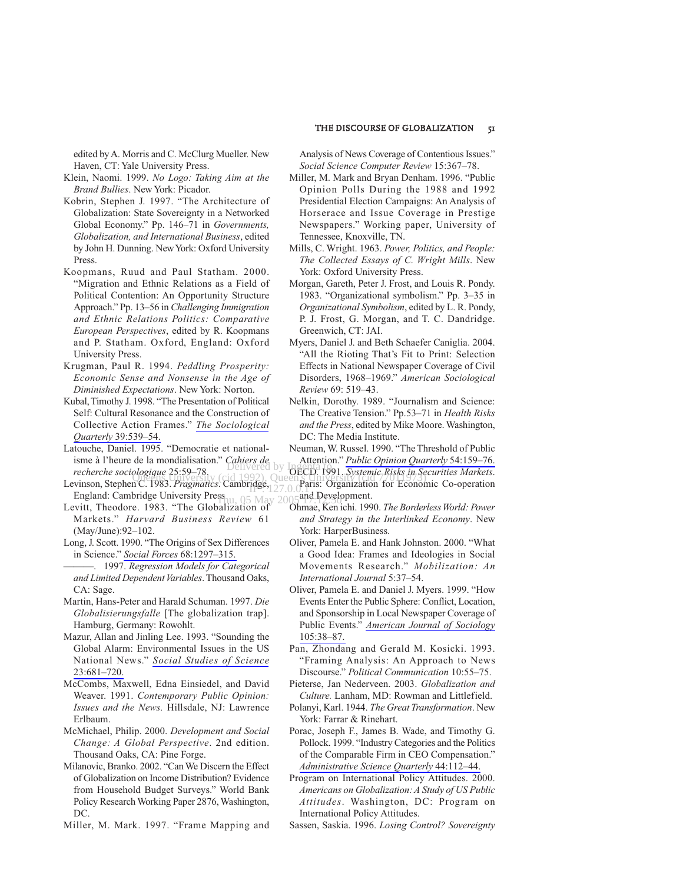edited by A. Morris and C. McClurg Mueller. New Haven, CT: Yale University Press.

- Klein, Naomi. 1999. *No Logo: Taking Aim at the Brand Bullies*. New York: Picador.
- Kobrin, Stephen J. 1997. "The Architecture of Globalization: State Sovereignty in a Networked Global Economy." Pp. 146–71 in *Governments, Globalization, and International Business*, edited by John H. Dunning. New York: Oxford University Press.
- Koopmans, Ruud and Paul Statham. 2000. "Migration and Ethnic Relations as a Field of Political Contention: An Opportunity Structure Approach." Pp. 13–56 in *Challenging Immigration and Ethnic Relations Politics: Comparative European Perspectives*, edited by R. Koopmans and P. Statham. Oxford, England: Oxford University Press.
- Krugman, Paul R. 1994. *Peddling Prosperity: Economic Sense and Nonsense in the Age of Diminished Expectations*. New York: Norton.
- Kubal, Timothy J. 1998. "The Presentation of Political Self: Cultural Resonance and the Construction of Collective Action Frames." *[The Sociological](http://www.ingentaselect.com/rpsv/cgi-bin/linker?ext=a&reqidx=0038-0253()39L.539[aid=1916410]) Quarterly* [39:539–54.](http://www.ingentaselect.com/rpsv/cgi-bin/linker?ext=a&reqidx=0038-0253()39L.539[aid=1916410])
- Latouche, Daniel. 1995. "Democratie et nationalisme à l'heure de la mondialisation." *Cahiers de recherche sociologique* 25:59–78.
- *recherche sociologique 23.33–18* by (cid 1992), Queen's University Systemic Risks in Section Cambridge, 1971, Queen States (contract 1983. *Pragmatics*. Cambridge, 1971) (Paris: Organization for Econor England: Cambridge University Press 198°127.0.0.1
- Levitt, Theodore. 1983. "The Globalization of Markets." *Harvard Business Review* 61 (May/June):92–102.
- Long, J. Scott. 1990. "The Origins of Sex Differences in Science." *Social Forces* [68:1297–315.](http://www.ingentaselect.com/rpsv/cgi-bin/linker?ext=a&reqidx=0037-7732()68L.1297[aid=282563])

———. 1997. *Regression Models for Categorical and Limited Dependent Variables*. Thousand Oaks, CA: Sage.

- Martin, Hans-Peter and Harald Schuman. 1997. *Die Globalisierungsfalle* [The globalization trap]. Hamburg, Germany: Rowohlt.
- Mazur, Allan and Jinling Lee. 1993. "Sounding the Global Alarm: Environmental Issues in the US National News." *[Social Studies of Science](http://www.ingentaselect.com/rpsv/cgi-bin/linker?ext=a&reqidx=0306-3127()23L.681[aid=355685])* [23:681–720.](http://www.ingentaselect.com/rpsv/cgi-bin/linker?ext=a&reqidx=0306-3127()23L.681[aid=355685])
- McCombs, Maxwell, Edna Einsiedel, and David Weaver. 1991. *Contemporary Public Opinion: Issues and the News.* Hillsdale, NJ: Lawrence Erlbaum.
- McMichael, Philip. 2000. *Development and Social Change: A Global Perspective*. 2nd edition. Thousand Oaks, CA: Pine Forge.
- Milanovic, Branko. 2002. "Can We Discern the Effect of Globalization on Income Distribution? Evidence from Household Budget Surveys." World Bank Policy Research Working Paper 2876, Washington, DC.
- Miller, M. Mark. 1997. "Frame Mapping and

Analysis of News Coverage of Contentious Issues." *Social Science Computer Review* 15:367–78.

- Miller, M. Mark and Bryan Denham. 1996. "Public Opinion Polls During the 1988 and 1992 Presidential Election Campaigns: An Analysis of Horserace and Issue Coverage in Prestige Newspapers." Working paper, University of Tennessee, Knoxville, TN.
- Mills, C. Wright. 1963. *Power, Politics, and People: The Collected Essays of C. Wright Mills*. New York: Oxford University Press.
- Morgan, Gareth, Peter J. Frost, and Louis R. Pondy. 1983. "Organizational symbolism." Pp. 3–35 in *Organizational Symbolism*, edited by L. R. Pondy, P. J. Frost, G. Morgan, and T. C. Dandridge. Greenwich, CT: JAI.
- Myers, Daniel J. and Beth Schaefer Caniglia. 2004. "All the Rioting That's Fit to Print: Selection Effects in National Newspaper Coverage of Civil Disorders, 1968–1969." *American Sociological Review* 69: 519–43.
- Nelkin, Dorothy. 1989. "Journalism and Science: The Creative Tension." Pp.53–71 in *Health Risks and the Press*, edited by Mike Moore. Washington, DC: The Media Institute.
- Neuman, W. Russel. 1990. "The Threshold of Public Attention." *[Public Opinion Quarterly](http://www.ingentaselect.com/rpsv/cgi-bin/linker?ext=a&reqidx=0033-362x()54L.159[aid=2862488])* 54:159–76.
- OECD. 1991. *Systemic Risks in Securities Markets*. Delivered by Ingenta to
- Paris: Organization for Economic Co-operation and Development. Thu, 05 May 2005 17:12:50
	- Ohmae, Ken ichi. 1990. *The Borderless World: Power and Strategy in the Interlinked Economy*. New York: HarperBusiness.
	- Oliver, Pamela E. and Hank Johnston. 2000. "What a Good Idea: Frames and Ideologies in Social Movements Research." *Mobilization: An International Journal* 5:37–54.
	- Oliver, Pamela E. and Daniel J. Myers. 1999. "How Events Enter the Public Sphere: Conflict, Location, and Sponsorship in Local Newspaper Coverage of Public Events." *[American Journal of Sociology](http://www.ingentaselect.com/rpsv/cgi-bin/linker?ext=a&reqidx=0002-9602()105L.38[aid=4953733])* [105:38–87.](http://www.ingentaselect.com/rpsv/cgi-bin/linker?ext=a&reqidx=0002-9602()105L.38[aid=4953733])
	- Pan, Zhondang and Gerald M. Kosicki. 1993. "Framing Analysis: An Approach to News Discourse." *Political Communication* 10:55–75.
	- Pieterse, Jan Nederveen. 2003. *Globalization and Culture.* Lanham, MD: Rowman and Littlefield.
	- Polanyi, Karl. 1944. *The Great Transformation*. New York: Farrar & Rinehart.
	- Porac, Joseph F., James B. Wade, and Timothy G. Pollock. 1999. "Industry Categories and the Politics of the Comparable Firm in CEO Compensation." *[Administrative Science Quarterly](http://www.ingentaselect.com/rpsv/cgi-bin/linker?ext=a&reqidx=0001-8392()44L.112[aid=6062380])* 44:112–44.
	- Program on International Policy Attitudes. 2000. *Americans on Globalization: A Study of US Public Attitudes*. Washington, DC: Program on International Policy Attitudes.
	- Sassen, Saskia. 1996. *Losing Control? Sovereignty*